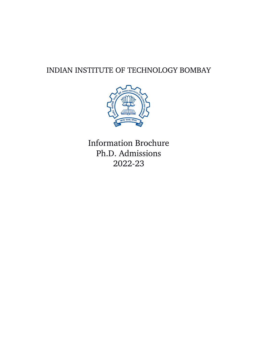# INDIAN INSTITUTE OF TECHNOLOGY BOMBAY



Information Brochure Ph.D. Admissions 202223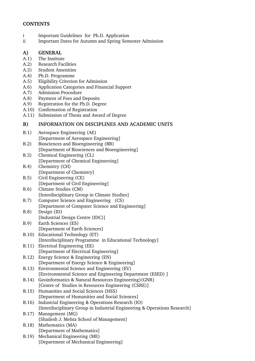# **CONTENTS**

- i Important Guidelines for Ph.D. Application
- ii Important Dates for Autumn and Spring Semester Admission

### **A) GENERAL**

- A.1) The Institute
- A.2) Research Facilities
- A.3) Student Amenities
- A.4) Ph.D. Programme
- A.5) Eligibility Criterion for Admission
- A.6) Application Categories and Financial Support
- A.7) Admission Procedure
- A.8) Payment of Fees and Deposits
- A.9) Registration for the Ph.D. Degree
- A.10) Confirmation of Registration
- A.11) Submission of Thesis and Award of Degree

### **B) INFORMATION ON DISCIPLINES AND ACADEMIC UNITS**

- B.1) Aerospace Engineering (AE) [Department of Aerospace Engineering]
- B.2) Biosciences and Bioengineering (BB) [Department of Biosciences and Bioengineering]
- B.3) Chemical Engineering (CL) [Department of Chemical Engineering]
- B.4) Chemistry (CH) [Department of Chemistry]
- B.5) Civil Engineering (CE) [Department of Civil Engineering]
- B.6) Climate Studies (CM) [Interdisciplinary Group in Climate Studies]
- B.7) Computer Science and Engineering (CS) [Department of Computer Science and Engineering]
- B.8) Design (ID) [Industrial Design Centre (IDC)]
- B.9) Earth Sciences (ES) [Department of Earth Sciences]
- B.10) Educational Technology (ET)
- [Interdisciplinary Programme in Educational Technology] B.11) Electrical Engineering (EE)
- [Department of Electrical Engineering]
- B.12) Energy Science & Engineering (EN) [Department of Energy Science & Engineering]
- B.13) Environmental Science and Engineering (EV)
- [Environmental Science and Engineering Department (ESED) ]
- B.14) Geoinformatics & Natural Resources Engineering)(GNR) [Centre of Studies in Resources Engineering (CSRE)]
- B.15) Humanities and Social Sciences (HSS) [Department of Humanities and Social Sciences]
- B.16) Industrial Engineering & Operations Research (IO) [Interdisciplinary Group in Industrial Engineering & Operations Research]
- B.17) Management (MG) [Shailesh J. Mehta School of Management]
- B.18) Mathematics (MA) [Department of Mathematics]
- B.19) Mechanical Engineering (ME) [Department of Mechanical Engineering]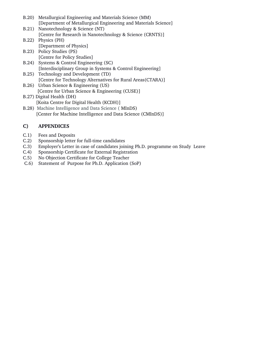|                                          | B.20) Metallurgical Engineering and Materials Science (MM)      |  |
|------------------------------------------|-----------------------------------------------------------------|--|
|                                          | [Department of Metallurgical Engineering and Materials Science] |  |
|                                          | B.21) Nanotechnology & Science (NT)                             |  |
|                                          | [Centre for Research in Nanotechnology & Science (CRNTS)]       |  |
|                                          | B.22) Physics (PH)                                              |  |
|                                          | [Department of Physics]                                         |  |
|                                          | B.23) Policy Studies (PS)                                       |  |
|                                          | [Centre for Policy Studies]                                     |  |
|                                          | B.24) Systems & Control Engineering (SC)                        |  |
|                                          | [Interdisciplinary Group in Systems & Control Engineering]      |  |
|                                          | B.25) Technology and Development (TD)                           |  |
|                                          | [Centre for Technology Alternatives for Rural Areas(CTARA)]     |  |
|                                          | B.26) Urban Science & Engineering (US)                          |  |
|                                          | [Centre for Urban Science & Engineering (CUSE)]                 |  |
| B.27) Digital Health (DH)                |                                                                 |  |
| [Koita Centre for Digital Health (KCDH)] |                                                                 |  |
|                                          |                                                                 |  |

B.28) Machine Intelligence and Data Science ( MInDS) [Center for Machine Intelligence and Data Science (CMInDS)]

# **C) APPENDICES**

- C.1) Fees and Deposits
- $C.2$ ) Sponsorship letter for full-time candidates
- C.3) Employer's Letter in case of candidates joining Ph.D. programme on Study Leave
- C.4) Sponsorship Certificate for External Registration
- C.5) No Objection Certificate for College Teacher
- C.6) Statement of Purpose for Ph.D. Application (SoP)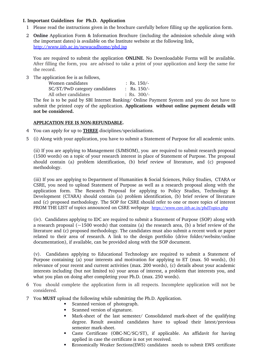### **I. Important Guidelines for Ph.D. Application**

- 1 Please read the instructions given in the brochure carefully before filling up the application form.
- 2 **Online** Application Form & Information Brochure (including the admission schedule along with the important dates) is available on the Institute website at the following link, <http://www.iitb.ac.in/newacadhome/phd.jsp>

You are required to submit the application **ONLINE**. No Downloadable Forms will be available. After filling the form, you are advised to take a print of your application and keep the same for the record.

3 The application fee is as follows,

| Women candidates              | : Rs. $150/-$ |
|-------------------------------|---------------|
| SC/ST/PwD category candidates | : Rs. $150/-$ |
| All other candidates          | : Rs. $300/-$ |

The fee is to be paid by SBI Internet Banking/ Online Payment System and you do not have to submit the printed copy of the application. **Applications without online payment details will not be considered.**

### **APPLICATION FEE IS NON-REFUNDABLE.**

- 4 You can apply for up to **THREE** disciplines/specialisations.
- 5 (i) Along with your application, you have to submit a Statement of Purpose for all academic units.

(ii) If you are applying to Management (SJMSOM), you are required to submit research proposal (1500 words) on a topic of your research interest in place of Statement of Purpose. The proposal should contain (a) problem identification, (b) brief review of literature, and (c) proposed methodology.

(iii) If you are applying to Department of Humanities & Social Sciences, Policy Studies, CTARA or CSRE, you need to upload Statement of Purpose as well as a research proposal along with the application form. The Research Proposal for applying to Policy Studies, Technology & Development (CTARA) should contain (a) problem identification, (b) brief review of literature and (c) proposed methodology. The SOP for CSRE should refer to one or more topics of interest FROM THE LIST of topics announced on CSRE webpage <https://www.csre.iitb.ac.in/phdTopics.php>

(iv). Candidates applying to IDC are required to submit a Statement of Purpose (SOP) along with a research proposal ( $\sim$ 1500 words) that contains (a) the research area, (b) a brief review of the literature and (c) proposed methodology. The candidates must also submit a recent work or paper related to their area of research. A link to the design portfolio (drive folder/website/online documentation), if available, can be provided along with the SOP document.

(v). Candidates applying to Educational Technology are required to submit a Statement of Purpose containing (a) your interests and motivation for applying to ET (max. 50 words), (b) relevance of your recent and current activities (max. 200 words), (c) details about your academic interests including (but not limited to) your areas of interest, a problem that interests you, and what you plan on doing after completing your Ph.D. (max. 250 words).

- 6 You should complete the application form in all respects. Incomplete application will not be considered.
- 7 You **MUST** upload the following while submitting the Ph.D. Application.
	- Scanned version of photograph.
	- Scanned version of signature.
	- Mark-sheet of the last semester/ Consolidated mark-sheet of the qualifying degree. Result awaited candidates have to upload their latest/previous semester mark-sheet.
	- Caste Certificate (OBC-NC/SC/ST), if applicable. An affidavit for having applied in case the certificate is not yet received.
	- **E**conomically Weaker Sections(EWS) candidates needs to submit EWS certificate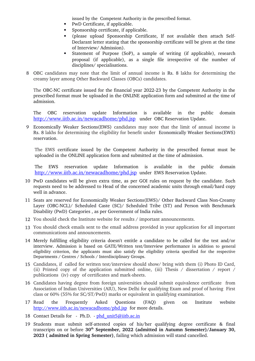issued by the Competent Authority in the prescribed format.

- PwD Certificate, if applicable.
- Sponsorship certificate, if applicable.
- (please upload Sponsorship Certificate, If not available then attach Self-Declarant letter stating that the sponsorship certificate will be given at the time of Interview/ Admission).
- Statement of Purpose (SoP), a sample of writing (if applicable), research proposal (if applicable), as a single file irrespective of the number of disciplines/ specialisations.
- 8 OBC candidates may note that the limit of annual income is Rs. 8 lakhs for determining the creamy layer among Other Backward Classes (OBCs) candidates.

The OBC-NC certificate issued for the financial year 2022-23 by the Competent Authority in the prescribed format must be uploaded in the ONLINE application form and submitted at the time of admission.

The OBC reservation update Information is available in the public domain <http://www.iitb.ac.in/newacadhome/phd.jsp> under OBC Reservation Update.

9 Economically Weaker Sections(EWS) candidates may note that the limit of annual income is Rs. 8 lakhs for determining the eligibility for benefit under Economically Weaker Sections(EWS) reservation.

The EWS certificate issued by the Competent Authority in the prescribed format must be uploaded in the ONLINE application form and submitted at the time of admission.

The EWS reservation update Information is available in the public domain <http://www.iitb.ac.in/newacadhome/phd.jsp> under EWS Reservation Update.

- 10 PwD candidates will be given extra time, as per GOI rules on request by the candidate. Such requests need to be addressed to Head of the concerned academic units through email/hard copy well in advance.
- 11 Seats are reserved for Economically Weaker Sections(EWS)/ Other Backward Class Non-Creamy Layer (OBC-NCL)/ Scheduled Caste (SC)/ Scheduled Tribe (ST) and Person with Benchmark Disability (PwD) Categories , as per Government of India rules.
- 12 You should check the Institute website for results / important announcements.
- 13 You should check emails sent to the email address provided in your application for all important communications and announcements.
- 14 Merely fulfilling eligibility criteria doesn't entitle a candidate to be called for the test and/or interview. Admission is based on GATE/Written test/Interview performance in addition to general eligibility criterion, the applicants must also satisfy the eligibility criteria specified for the respective Departments / Centres / Schools / Interdisciplinary Groups.
- 15 Candidates, if called for written test/interview should show/ bring with them (i) Photo ID Card, (ii) Printed copy of the application submitted online, (iii) Thesis / dissertation / report / publications (iv) copy of certificates and mark-sheets.
- 16 Candidates having degree from foreign universities should submit equivalence certificate from Association of Indian Universities (AIU), New Delhi for qualifying Exam and proof of having First class or 60% (55% for SC/ST/PwD) marks or equivalent in qualifying examination.
- 17 Read the Frequently Asked Questions (FAQ) given on Institute website <http://www.iitb.ac.in/newacadhome/phd.jsp> for more details.
- 18 Contact Details for Ph.D. - [phd\\_unit5@iitb.ac.in](mailto:phd_unit5@iitb.ac.in)
- 19 Students must submit self-attested copies of his/her qualifying degree certificate & final transcripts on or before **30th September, 2022 (admitted in Autumn Semester)/January 30, 2023 ( admitted in Spring Semester)**, failing which admission will stand cancelled.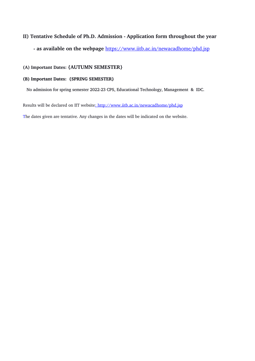# **II) Tentative Schedule of Ph.D. Admission Application form throughout the year**

 **as available on the webpage** <https://www.iitb.ac.in/newacadhome/phd.jsp>

### **(A) Important Dates: {AUTUMN SEMESTER}**

#### **(B) Important Dates: {SPRING SEMESTER}**

No admission for spring semester 2022-23 CPS, Educational Technology, Management & IDC.

Resultswill be declared on IIT website: <http://www.iitb.ac.in/newacadhome/phd.jsp>

The dates given are tentative. Any changes in the dates will be indicated on the website.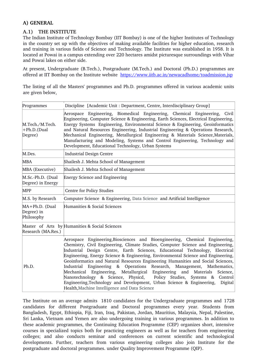# **A) GENERAL**

# **A.1) THE INSTITUTE**

The Indian Institute of Technology Bombay (IIT Bombay) is one of the higher Institutes of Technology in the country set up with the objectives of making available facilities for higher education, research and training in various fields of Science and Technology. The Institute was established in 1958. It is located at Powai in a campus extending over 220 hectares amidst picturesque surroundings with Vihar and Powai lakes on either side.

At present, Undergraduate (B.Tech.), Postgraduate (M.Tech.) and Doctoral (Ph.D.) programmes are offered at IIT Bombay on the Institute website<https://www.iitb.ac.in/newacadhome/toadmission.jsp>

The listing of all the Masters' programmes and Ph.D. programmes offered in various academic units are given below,

| Programmes                                 | Discipline [Academic Unit : Department, Centre, Interdisciplinary Group]                                                                                                                                                                                                                                                                                                                                                                                                                                                                                                                                                                                                                                                                                                                           |  |  |  |
|--------------------------------------------|----------------------------------------------------------------------------------------------------------------------------------------------------------------------------------------------------------------------------------------------------------------------------------------------------------------------------------------------------------------------------------------------------------------------------------------------------------------------------------------------------------------------------------------------------------------------------------------------------------------------------------------------------------------------------------------------------------------------------------------------------------------------------------------------------|--|--|--|
| M.Tech./M.Tech.<br>+Ph.D.(Dual<br>Degree)  | Aerospace Engineering, Biomedical Engineering, Chemical Engineering,<br>Civil<br>Engineering, Computer Science & Engineering, Earth Sciences, Electrical Engineering,<br>Energy Systems Engineering, Environmental Science & Engineering, Geoinformatics<br>and Natural Resources Engineering, Industrial Engineering & Operations Research,<br>Mechanical Engineering, Metallurgical Engineering & Materials Science, Materials,<br>Manufacturing and Modeling, Systems and Control Engineering, Technology and<br>Development, Educational Technology, Urban Systems                                                                                                                                                                                                                             |  |  |  |
| M.Des.                                     | <b>Industrial Design Centre</b>                                                                                                                                                                                                                                                                                                                                                                                                                                                                                                                                                                                                                                                                                                                                                                    |  |  |  |
| <b>MBA</b>                                 | Shailesh J. Mehta School of Management                                                                                                                                                                                                                                                                                                                                                                                                                                                                                                                                                                                                                                                                                                                                                             |  |  |  |
| MBA (Executive)                            | Shailesh J. Mehta School of Management                                                                                                                                                                                                                                                                                                                                                                                                                                                                                                                                                                                                                                                                                                                                                             |  |  |  |
| M.Sc.-Ph.D. (Dual<br>Degree) in Energy     | <b>Energy Science and Engineering</b>                                                                                                                                                                                                                                                                                                                                                                                                                                                                                                                                                                                                                                                                                                                                                              |  |  |  |
| <b>MPP</b>                                 | Centre for Policy Studies                                                                                                                                                                                                                                                                                                                                                                                                                                                                                                                                                                                                                                                                                                                                                                          |  |  |  |
| M.S. by Research                           | Computer Science & Engineering, Data Science and Artificial Intelligence                                                                                                                                                                                                                                                                                                                                                                                                                                                                                                                                                                                                                                                                                                                           |  |  |  |
| MA+Ph.D. (Dual<br>Degree) in<br>Philosophy | Humanities & Social Sciences                                                                                                                                                                                                                                                                                                                                                                                                                                                                                                                                                                                                                                                                                                                                                                       |  |  |  |
| Research (MA.Res.)                         | Master of Arts by Humanities & Social Sciences                                                                                                                                                                                                                                                                                                                                                                                                                                                                                                                                                                                                                                                                                                                                                     |  |  |  |
| Ph.D.                                      | Aerospace Engineering, Biosciences and Bioengineering, Chemical Engineering,<br>Chemistry, Civil Engineering, Climate Studies, Computer Science and Engineering,<br>Industrial Design Centre, Earth Sciences, Educational Technology, Electrical<br>Engineering, Energy Science & Engineering, Environmental Science and Engineering,<br>Geoinformatics and Natural Resources Engineering Humanities and Social Sciences,<br>Industrial Engineering & Operations Research, Management, Mathematics,<br>Mechanical Engineering, Metallurgical Engineering and Materials<br>Science,<br>Nanotechnology & Science, Physicd,<br>Policy Studies, Systems & Control<br>Engineering, Technology and Development, Urban Science & Engineering,<br>Digital<br>Health, Machine Intelligence and Data Science |  |  |  |

The Institute on an average admits 1810 candidates for the Undergraduate programmes and 1728 candidates for different Postgraduate and Doctoral programmes every year. Students from Bangladesh, Egypt, Ethiopia, Fiji, Iran, Iraq, Pakistan, Jordan, Mauritius, Malaysia, Nepal, Palestine, Sri Lanka, Vietnam and Yemen are also undergoing training in various programmes. In addition to these academic programmes, the Continuing Education Programme (CEP) organizes short, intensive courses in specialized topics both for practicing engineers as well as for teachers from engineering colleges; and also conducts seminar and conferences on current scientific and technological developments. Further, teachers from various engineering colleges also join Institute for the postgraduate and doctoral programmes. under Quality Improvement Programme (QIP).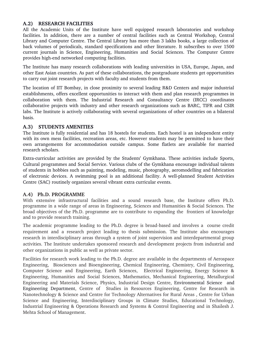# **A.2) RESEARCH FACILITIES**

All the Academic Units of the Institute have well equipped research laboratories and workshop facilities. In addition, there are a number of central facilities such as Central Workshop, Central Library and Computer Centre. The Central Library has more than 3 lakhs books, a large collection of back volumes of periodicals, standard specifications and other literature. It subscribes to over 1500 current journals in Science, Engineering, Humanities and Social Sciences. The Computer Centre provides high-end networked computing facilities.

The Institute has many research collaborations with leading universities in USA, Europe, Japan, and other East Asian countries. As part of these collaborations, the postgraduate students get opportunities to carry out joint research projects with faculty and students from them.

The location of IIT Bombay, in close proximity to several leading R&D Centers and major industrial establishments, offers excellent opportunities to interact with them and plan research programmes in collaboration with them. The Industrial Research and Consultancy Centre (IRCC) coordinates collaborative projects with industry and other research organizations such as BARC, TIFR and CSIR labs. The Institute is actively collaborating with several organizations of other countries on a bilateral basis.

### **A.3) STUDENTS AMENITIES**

The Institute is fully residential and has 18 hostels for students. Each hostel is an independent entity with its own mess facilities, recreation areas, etc. However students may be permitted to have their own arrangements for accommodation outside campus. Some flatlets are available for married research scholars.

Extra-curricular activities are provided by the Students' Gymkhana. These activities include Sports, Cultural programmes and Social Service. Various clubs of the Gymkhana encourage individual talents of students in hobbies such as painting, modeling, music, photography, aeromodelling and fabrication of electronic devices. A swimming pool is an additional facility. A well-planned Student Activities Centre (SAC) routinely organizes several vibrant extra curricular events.

### **A.4) Ph.D. PROGRAMME**

With extensive infrastructural facilities and a sound research base, the Institute offers Ph.D. programme in a wide range of areas in Engineering, Sciences and Humanities & Social Sciences. The broad objectives of the Ph.D. programme are to contribute to expanding the frontiers of knowledge and to provide research training.

The academic programme leading to the Ph.D. degree is broad-based and involves a course credit requirement and a research project leading to thesis submission. The Institute also encourages research in interdisciplinary areas through a system of joint supervision and interdepartmental group activities. The Institute undertakes sponsored research and development projects from industrial and other organizations in public as well as private sector.

Facilities for research work leading to the Ph.D. degree are available in the departments of Aerospace Engineering, Biosciences and Bioengineering, Chemical Engineering, Chemistry, Civil Engineering, Computer Science and Engineering, Earth Sciences, Electrical Engineering, Energy Science & Engineering, Humanities and Social Sciences, Mathematics, Mechanical Engineering, Metallurgical Engineering and Materials Science, Physics, Industrial Design Centre, Environmental Science and Engineering Department, Centre of Studies in Resources Engineering, Centre for Research in Nanotechnology & Science and Centre for Technology Alternatives for Rural Areas , Centre for Urban Science and Engineering, Interdisciplinary Groups in Climate Studies, Educational Technology, Industrial Engineering & Operations Research and Systems & Control Engineering and in Shailesh J. Mehta School of Management.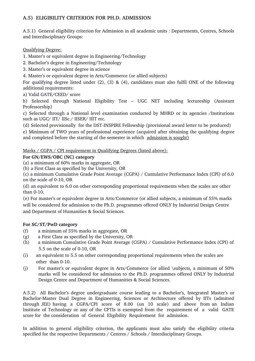# **A.5) ELIGIBILITY CRITERION FOR PH.D. ADMISSION**

A.5.1) General eligibility criterion for Admission in all academic units : Departments, Centres, Schools and Interdisciplinary Groups:

# Qualifying Degree:

1. Master's or equivalent degree in Engineering/Technology

2. Bachelor's degree in Engineering/Technology

3. Master's or equivalent degree in science

4. Master's or equivalent degree in Arts/Commerce (or allied subjects)

For qualifying degree listed under (2), (3) & (4), candidates must also fulfil ONE of the following additional requirements:

a) Valid GATE/CEED/ score

b) Selected through National Eligibility Test – UGC NET including lectureship (Assistant Professorship)

c) Selected through a National level examination conducted by MHRD or its agencies /Institutions such as UGC/ IIT/ IISc./ IISER/ IIIT etc.

(d) Selected provisionally for the DST-INSPIRE Fellowship (provisional award letter to be produced)

e) Minimum of TWO years of professional experience (acquired after obtaining the qualifying degree and completed before the starting of the semester in which admission is sought)

Marks / CGPA / CPI requirement in Qualifying Degrees (listed above):

# **For GN/EWS/OBC (NC) category**

(a) a minimum of 60% marks in aggregate, OR

(b) a First Class as specified by the University, OR

(c) a minimum Cumulative Grade Point Average (CGPA) / Cumulative Performance Index (CPI) of 6.0 on the scale of 0-10, OR

(d) an equivalent to 6.0 on other corresponding proportional requirements when the scales are other than  $0-10$ .

(e) For master's or equivalent degree in Arts/Commerce (or allied subjects, a minimum of 55% marks will be considered for admission to the Ph.D. programmes offered ONLY by Industrial Design Centre and Department of Humanities & Social Sciences.

# **For SC/ST/PwD category**

- (f) a minimum of 55% marks in aggregate, OR
- (g) a First Class as specified by the University, OR
- (h) a minimum Cumulative Grade Point Average (CGPA) / Cumulative Performance Index (CPI) of 5.5 on the scale of 0-10, OR
- (i) an equivalent to 5.5 on other corresponding proportional requirements when the scales are other than 0-10.
- (j) For master's or equivalent degree in Arts/Commerce (or allied \subjects, a minimum of 50% marks will be considered for admission to the Ph.D. programmes offered ONLY by Industrial Design Centre and Department of Humanities & Social Sciences.

A.5.2) All Bachelor's degree undergraduate course leading to a Bachelor's, Integrated Master's or Bachelor-Master Dual Degree in Engineering, Sciences or Architecture offered by IITs (admitted through JEE) having a CGPA/CPI score of 8.00 (on 10 scale) and above from an Indian Institute of Technology or any of the CFTIs is exempted from the requirement of a valid GATE score for the consideration of General Eligibility Requirement for admission.

In addition to general eligibility criterion, the applicants must also satisfy the eligibility criteria specified for the respective Departments / Centres / Schools / Interdisciplinary Groups.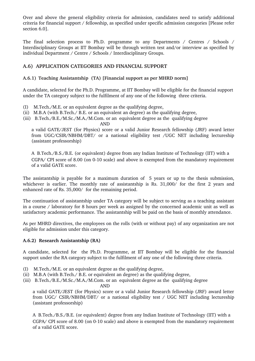Over and above the general eligibility criteria for admission, candidates need to satisfy additional criteria for financial support / fellowship, as specified under specific admission categories [Please refer section 6.0].

The final selection process to Ph.D. programme to any Departments  $\ell$  Centres  $\ell$  Schools  $\ell$ Interdisciplinary Groups at IIT Bombay will be through written test and/or interview as specified by individual Department / Centre / Schools / Interdisciplinary Groups.

# **A.6) APPLICATION CATEGORIES AND FINANCIAL SUPPORT**

### **A.6.1) Teaching Assistantship (TA) [Financial support as per MHRD norm]**

A candidate, selected for the Ph.D. Programme, at IIT Bombay will be eligible for the financial support under the TA category subject to the fulfilment of any one of the following three criteria.

- (I) M.Tech./M.E. or an equivalent degree as the qualifying degree,
- (ii) M.B.A (with B.Tech./ B.E. or an equivalent an degree) as the qualifying degree,
- (iii) B.Tech./B.E./M.Sc./M.A./M.Com. or an equivalent degree as the qualifying degree

AND

a valid GATE/JEST (for Physics) score or a valid Junior Research fellowship (JRF) award letter from UGC/CSIR/NBHM/DBT/ or a national eligibility test /UGC NET including lectureship (assistant professorship)

A B.Tech./B.S./B.E. (or equivalent) degree from any Indian Institute of Technology (IIT) with a CGPA/ CPI score of 8.00 (on 010 scale) and above is exempted from the mandatory requirement of a valid GATE score.

The assistantship is payable for a maximum duration of 5 years or up to the thesis submission, whichever is earlier. The monthly rate of assistantship is Rs. 31,000/ for the first 2 years and enhanced rate of Rs. 35,000/ for the remaining period.

The continuation of assistantship under TA category will be subject to serving as a teaching assistant in a course / laboratory for 8 hours per week as assigned by the concerned academic unit as well as satisfactory academic performance. The assistantship will be paid on the basis of monthly attendance.

As per MHRD directives, the employees on the rolls (with or without pay) of any organization are not eligible for admission under this category.

### **A.6.2) Research Assistantship (RA)**

A candidate, selected for the Ph.D. Programme, at IIT Bombay will be eligible for the financial support under the RA category subject to the fulfilment of any one of the following three criteria.

- (I) M.Tech./M.E. or an equivalent degree as the qualifying degree,
- (ii) M.B.A (with B.Tech./ B.E. or equivalent an degree) as the qualifying degree,
- (iii) B.Tech./B.E./M.Sc./M.A./M.Com. or an equivalent degree as the qualifying degree

AND

a valid GATE/JEST (for Physics) score or a valid Junior Research fellowship (JRF) award letter from UGC/ CSIR/NBHM/DBT/ or a national eligibility test / UGC NET including lectureship (assistant professorship)

A B.Tech./B.S./B.E. (or equivalent) degree from any Indian Institute of Technology (IIT) with a CGPA/ CPI score of 8.00 (on 0-10 scale) and above is exempted from the mandatory requirement of a valid GATE score.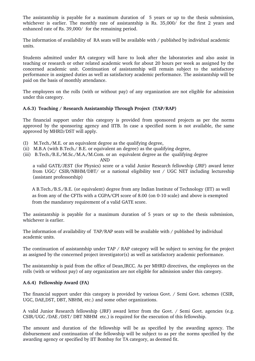The assistantship is payable for a maximum duration of 5 years or up to the thesis submission, whichever is earlier. The monthly rate of assistantship is Rs. 35,000/ for the first 2 years and enhanced rate of Rs. 39,000/ for the remaining period.

The information of availability of RA seats will be available with / published by individual academic units.

Students admitted under RA category will have to look after the laboratories and also assist in teaching or research or other related academic work for about 20 hours per week as assigned by the concerned academic unit. Continuation of assistantship will remain subject to the satisfactory performance in assigned duties as well as satisfactory academic performance. The assistantship will be paid on the basis of monthly attendance.

The employees on the rolls (with or without pay) of any organization are not eligible for admission under this category.

### **A.6.3) Teaching / Research Assistantship Through Project (TAP/RAP)**

The financial support under this category is provided from sponsored projects as per the norms approved by the sponsoring agency and IITB. In case a specified norm is not available, the same approved by MHRD/DST will apply.

- (I) M.Tech./M.E. or an equivalent degree as the qualifying degree,
- (ii) M.B.A (with B.Tech./ B.E. or equivalent an degree) as the qualifying degree,
- (iii) B.Tech./B.E./M.Sc./M.A./M.Com. or an equivalent degree as the qualifying degree

AND

a valid GATE/JEST (for Physics) score or a valid Junior Research fellowship (JRF) award letter from UGC/ CSIR/NBHM/DBT/ or a national eligibility test / UGC NET including lectureship (assistant professorship)

 A B.Tech./B.S./B.E. (or equivalent) degree from any Indian Institute of Technology (IIT) as well as from any of the CFTIs with a CGPA/CPI score of 8.00 (on 010 scale) and above is exempted from the mandatory requirement of a valid GATE score.

The assistantship is payable for a maximum duration of 5 years or up to the thesis submission, whichever is earlier.

The information of availability of TAP/RAP seats will be available with / published by individual academic units.

The continuation of assistantship under TAP / RAP category will be subject to serving for the project as assigned by the concerned project investigator(s) as well as satisfactory academic performance.

The assistantship is paid from the office of Dean,IRCC. As per MHRD directives, the employees on the rolls (with or without pay) of any organization are not eligible for admission under this category.

### **A.6.4) Fellowship Award (FA)**

The financial support under this category is provided by various Govt. / Semi Govt. schemes (CSIR, UGC, DAE,DST, DBT, NBHM, etc.) and some other organizations.

A valid Junior Research fellowship (JRF) award letter from the Govt. / Semi Govt. agencies (e.g. CSIR/UGC /DAE /DST/ DBT NBHM etc.) is required for the execution of this fellowship.

The amount and duration of the fellowship will be as specified by the awarding agency. The disbursement and continuation of the fellowship will be subject to as per the norms specified by the awarding agency or specified by IIT Bombay for TA category, as deemed fit.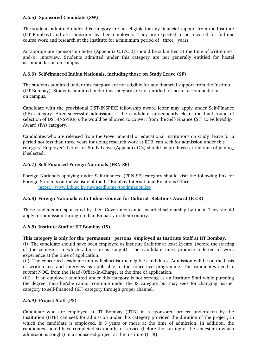# **A.6.5) Sponsored Candidate (SW)**

The students admitted under this category are not eligible for any financial support from the Institute (IIT Bombay) and are sponsored by their employers. They are expected to be released for fulltime course work and research at the Institute for a minimum period of three years.

An appropriate sponsorship letter (Appendix C.1/C.2) should be submitted at the time of written test and/or interview. Students admitted under this category are not generally entitled for hostel accommodation on campus.

### **A.6.6) Selffinanced Indian Nationals, including those on Study Leave (SF)**

The students admitted under this category are not eligible for any financial support from the Institute (IIT Bombay). Students admitted under this category are not entitled for hostel accommodation on campus.

Candidate with the provisional DST-INSPIRE fellowship award letter may apply under Self-Finance (SF) category. After successful admission, if the candidate subsequently clears the final round of selection of DST-INSPIRE, s/he would be allowed to convert from the Self-Finance (SF) to Fellowship Award (FA) category.

Candidates who are released from the Governmental or educational Institutions on study leave for a period not less than three years for doing research work at IITB, can seek for admission under this category. Employer's Letter for Study Leave (Appendix C.3) should be produced at the time of joining, if selected.

### A.6.7) **Self-Financed Foreign Nationals (FRN-SF)**

Foreign Nationals applying under Self-financed (FRN-SF) category should visit the following link for Foreign Students on the website of the IIT Bombay International Relations Office: <https://www.iitb.ac.in/newacadhome/toadmission.jsp>

### **A.6.8) Foreign Nationals with Indian Council for Cultural Relations Award (ICCR)**

These students are sponsored by their Governments and awarded scholarship by them. They should apply for admission through Indian Embassy in their country.

### **A.6.8) Institute Staff of IIT Bombay (IS)**

### **This category is only for the 'permanent' persons employed as Institute Staff at IIT Bombay.**

(i) The candidate should have been employed as Institute Staff for at least 2years (before the starting of the semester in which admission is sought). The candidate must produce a letter of work experience at the time of application.

(ii) The concerned academic unit will shortlist the eligible candidates. Admission will be on the basis of written test and interview as applicable to the concerned programme. The candidates need to submit NOC, from the Head/Office-In-Charge, at the time of application.

(iii) If an employee admitted under this category is not serving as an Institute Staff while pursuing the degree, then he/she cannot continue under the IS category but may seek for changing his/her category to self-financed (SF) category through proper channel.

### **A.6.9) Project Staff (PS)**

Candidate who are employed at IIT Bombay (IITB) in a sponsored project undertaken by the Institution (IITB) can seek for admission under this category provided the duration of the project, in which the candidate is employed, is 3 years or more at the time of admission. In addition, the candidates should have completed six months of service (before the starting of the semester in which admission is sought) in a sponsored project at the Institute (IITB).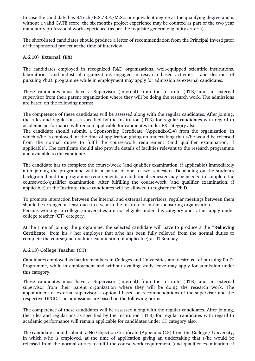In case the candidate has B.Tech./B.S./B.E./M.Sc. or equivalent degree as the qualifying degree and is without a valid GATE score, the six months project experience may be counted as part of the two year mandatory professional work experience (as per the requisite general eligibility criteria).

The short-listed candidates should produce a letter of recommendation from the Principal Investigator of the sponsored project at the time of interview.

# **A.6.10) External (EX)**

The candidates employed in recognized R&D organizations, well-equipped scientific institutions, laboratories, and industrial organizations engaged in research based activities, and desirous of pursuing Ph.D. programme while in employment may apply for admission as external candidates.

These candidates must have a Supervisor (internal) from the Institute (IITB) and an external supervisor from their parent organization where they will be doing the research work. The admissions are based on the following norms:

The competence of these candidates will be assessed along with the regular candidates. After joining, the rules and regulations as specified by the Institution (IITB) for regular candidates with regard to academic performance will remain applicable for candidates under EX category also.

The candidate should submit, a Sponsorship Certificate (Appendix-C.4) from the organization, in which s/he is employed, at the time of application giving an undertaking that s/he would be released from the normal duties to fulfil the course-work requirement (and qualifier examination, if applicable). The certificate should also provide details of facilities relevant to the research programme and available to the candidate.

The candidate has to complete the course-work (and qualifier examination, if applicable) immediately after joining the programme within a period of one to two semesters. Depending on the student's background and the programme requirements, an additional semester may be needed to complete the coursework/qualifier examination. After fulfilling the coursework (and qualifier examination, if applicable) at the Institute, these candidates will be allowed to register for Ph.D.

To promote interaction between the internal and external supervisors, regular meetings between them should be arranged at least once in a year in the Institute or in the sponsoring organization. Persons working in colleges/universities are not eligible under this category and rather apply under college teacher (CT) category.

At the time of joining the programme, the selected candidate will have to produce a the "**Relieving Certificate**" from his / her employer that s/he has been fully relieved from the normal duties to complete the course(and qualifier examination, if applicable) at IITBombay.

### **A.6.13) College Teacher (CT)**

Candidates employed as faculty members in Colleges and Universities and desirous of pursuing Ph.D. Programme, while in employment and without availing study leave may apply for admission under this category.

These candidates must have a Supervisor (internal) from the Institute (IITB) and an external supervisor from their parent organization where they will be doing the research work. The appointment of external supervisor is optional based on recommendations of the supervisor and the respective DPGC. The admissions are based on the following norms:

The competence of these candidates will be assessed along with the regular candidates. After joining, the rules and regulations as specified by the Institution (IITB) for regular candidates with regard to academic performance will remain applicable for candidates under CT category also.

The candidate should submit, a No-Objection Certificate (Appendix-C.5) from the College / University, in which s/he is employed, at the time of application giving an undertaking that s/he would be released from the normal duties to fulfil the coursework requirement (and qualifier examination, if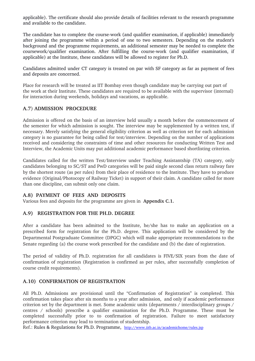applicable). The certificate should also provide details of facilities relevant to the research programme and available to the candidate.

The candidate has to complete the course-work (and qualifier examination, if applicable) immediately after joining the programme within a period of one to two semesters. Depending on the student's background and the programme requirements, an additional semester may be needed to complete the coursework/qualifier examination. After fulfilling the course-work (and qualifier examination, if applicable) at the Institute, these candidates will be allowed to register for Ph.D.

Candidates admitted under CT category is treated on par with SF category as far as payment of fees and deposits are concerned.

Place for research will be treated as IIT Bombay even though candidate may be carrying out part of the work at their Institute. These candidates are required to be available with the supervisor (internal) for interaction during weekends, holidays and vacations, as applicable.

### **A.7**) **ADMISSION PROCEDURE**

Admission is offered on the basis of an interview held usually a month before the commencement of the semester for which admission is sought. The interview may be supplemented by a written test, if necessary. Merely satisfying the general eligibility criterion as well as criterion set for each admission category is no guarantee for being called for test/interview. Depending on the number of applications received and considering the constraints of time and other resources for conducting Written Test and Interview, the Academic Units may put additional academic performance based shortlisting criterion.

Candidates called for the written Test/Interview under Teaching Assistantship (TA) category, only candidates belonging to SC/ST and PwD categories will be paid single second class return railway fare by the shortest route (as per rules) from their place of residence to the Institute. They have to produce evidence (Original/Photocopy of Railway Ticket) in support of their claim. A candidate called for more than one discipline, can submit only one claim.

### **A.8) PAYMENT OF FEES AND DEPOSITS**

Various fees and deposits for the programme are given in  **Appendix C.1.**

### **A.9) REGISTRATION FOR THE PH.D. DEGREE**

After a candidate has been admitted to the Institute, he/she has to make an application on a prescribed form for registration for the Ph.D. degree. This application will be considered by the Departmental Postgraduate Committee (DPGC) which will make appropriate recommendations to the Senate regarding (a) the course work prescribed for the candidate and (b) the date of registration.

The period of validity of Ph.D. registration for all candidates is FIVE/SIX years from the date of confirmation of registration (Registration is confirmed as per rules, after successfully completion of course credit requirements).

### **A.10) CONFIRMATION OF REGISTRATION**

All Ph.D. Admissions are provisional until the "Confirmation of Registration" is completed. This confirmation takes place after six months to a year after admission, and only if academic performance criterion set by the department is met. Some academic units (departments / interdisciplinary groups / centres / schools) prescribe a qualifier examination for the Ph.D. Programme. These must be completed successfully prior to to confirmation of registration. Failure to meet satisfactory performance criterion may lead to termination of studentship.

Ref.: Rules & Regulations for Ph.D. Programme, <http://www.iitb.ac.in/academichome/rules.jsp>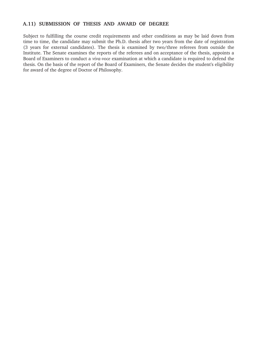# **A.11) SUBMISSION OF THESIS AND AWARD OF DEGREE**

Subject to fulfilling the course credit requirements and other conditions as may be laid down from time to time, the candidate may submit the Ph.D. thesis after two years from the date of registration (3 years for external candidates). The thesis is examined by two/three referees from outside the Institute. The Senate examines the reports of the referees and on acceptance of the thesis, appoints a Board of Examiners to conduct a *viva-voce* examination at which a candidate is required to defend the thesis. On the basis of the report of the Board of Examiners, the Senate decides the student's eligibility for award of the degree of Doctor of Philosophy.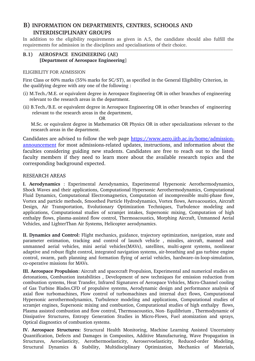# **B) INFORMATION ON DEPARTMENTS, CENTRES, SCHOOLS AND INTERDISCIPLINARY GROUPS**

In addition to the eligibility requirements as given in A.5, the candidate should also fulfill the requirements for admission in the disciplines and specialisations of their choice. 

# **B.1) AEROSPACE ENGINEERING (AE) [Department of Aerospace Engineering**]

### ELIGIBILITY FOR ADMISSION

First Class or 60% marks (55% marks for SC/ST), as specified in the General Eligibility Criterion, in the qualifying degree with any one of the following :

- (i) M.Tech./M.E. or equivalent degree in Aerospace Engineering OR in other branches of engineering relevant to the research areas in the department.
- (ii) B.Tech./B.E. or equivalent degree in Aerospace Engineering OR in other branches of engineering relevant to the research areas in the department,

**OR** Service Contract of the Contract of the Contract of the Contract of the Contract of the Contract of the Contract of the Contract of the Contract of the Contract of the Contract of the Contract of the Contract of the C M.Sc. or equivalent degree in Mathematics OR Physics OR in other specializations relevant to the research areas in the department.

Candidates are advised to follow the web page [https://www.aero.iitb.ac.in/home/admission](https://www.aero.iitb.ac.in/home/admission-announcement)[announcement](https://www.aero.iitb.ac.in/home/admission-announcement) for most admissions-related updates, instructions, and information about the faculties considering guiding new students. Candidates are free to reach out to the listed faculty members if they need to learn more about the available research topics and the corresponding background expected.

# RESEARCH AREAS

**I. Aerodynamics** : Experimental Aerodynamics, Experimental Hypersonic Aerothermodynamics, Shock Waves and their applications, Computational Hypersonic Aerothermodynamics, Computational Fluid Dynamics, Computational Electromagnetics, Computation of incompressible multi-phase flow, Vortex and particle methods, Smoothed Particle Hydrodynamics, Vortex flows, Aeroacoustics, Aircraft Design, Air Transportation, Evolutionary Optimization Techniques, Turbulence modeling and applications, Computational studies of scramjet intakes, Supersonic mixing, Computation of high enthalpy flows, plasma-assisted flow control, Thermoacoustics, Morphing Aircraft, Unmanned Aerial Vehicles, and LighterThan Air Systems, Helicopter aerodynamics.

**II. Dynamics and Control:** Flight mechanics, guidance, trajectory optimization, navigation, state and parameter estimation, tracking and control of launch vehicle , missiles, aircraft, manned and unmanned aerial vehicles, mini aerial vehicles(MAVs), satellites, multi-agent systems, nonlinear adaptive and robust flight control, integrated navigation systems, air-breathing and gas turbine engine control, swarm, path planning and formation flying of aerial vehicles, hardware–in-loop-simulation, co-operative missions for MAVs.

**III. Aerospace Propulsion**: Aircraft and spacecraft Propulsion, Experimental and numerical studies on detonations, Combustion instabilities , Development of new techniques for emission reduction from combustion systems, Heat Transfer, Infrared Signatures of Aerospace Vehicles, Micro-Channel cooling of Gas Turbine Blades.CFD of propulsive systems, Aerodynamic design and performance analysis of axial flow turbomachines, Flow control of turbomachines and internal duct flows, Computational Hypersonic aerothermodynamics, Turbulence modeling and applications, Computational studies of scramjet engines, Supersonic mixing and combustion, Computational studies of high enthalpy flows, Plasma assisted combustion and flow control, Thermoacoustics, Non-Equilibrium, Thermodynamic of Dissipative Structures, Entropy Generation Studies in Micro-Flows, Fuel atomization and sprays, Optical diagnostics of combustion systems.

**IV. Aerospace Structures:** Structural Health Monitoring, Machine Learning Assisted Uncertainty Quantification, Defects and Damages in Composites, Additive Manufacturing, Wave Propagation in Structures, Aeroelasticity, Aerothermoelasticity, Aeroservoelasticity, Reduced-order Modeling, Structural Dynamics & Stability, Multidisciplinary Optimization, Mechanics of Materials,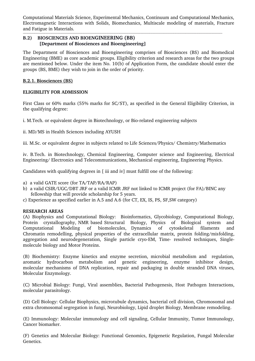Computational Materials Science, Experimental Mechanics, Continuum and Computational Mechanics, Electromagnetic Interactions with Solids, Biomechanics, Multiscale modeling of materials, Fracture and Fatigue in Materials.

### **B.2) BIOSCIENCES AND BIOENGINEERING (BB) [Department of Biosciences and Bioengineering]**

The Department of Biosciences and Bioengineering comprises of Biosciences (BS) and Biomedical Engineering (BME) as core academic groups. Eligibility criterion and research areas for the two groups are mentioned below. Under the item No. 10(b) of Application Form, the candidate should enter the groups (BS, BME) they wish to join in the order of priority.

### **B.2.1. Biosciences (BS)**

### **ELIGIBILITY FOR ADMISSION**

First Class or 60% marks (55% marks for SC/ST), as specified in the General Eligibility Criterion, in the qualifying degree:

i. M.Tech. or equivalent degree in Biotechnology, or Bio-related engineering subjects

ii. MD/MS in Health Sciences including AYUSH

iii. M.Sc. or equivalent degree in subjects related to Life Sciences/Physics/ Chemistry/Mathematics

iv. B.Tech. in Biotechnology, Chemical Engineering, Computer science and Engineering, Electrical Engineering/ Electronics and Telecommunications, Mechanical engineering, Engineering Physics.

Candidates with qualifying degrees in [iii and iv] must fulfill one of the following:

- a) a valid GATE score (for TA/TAP/RA/RAP)
- b) a valid CSIR/UGC/DBT JRF or a valid ICMR JRF not linked to ICMR project (for FA)/BINC any fellowship that will provide scholarship for 5 years.
- c) Experience as specified earlier in A.5 and A.6 (for CT, EX, IS, PS, SF,SW category)

### **RESEARCH AREAS**

(A) Biophysics and Computational Biology: Bioinformatics, Glycobiology, Computational Biology, Protein crystallography, NMR based Structural Biology, Physics of Biological system and Computational Modeling of biomolecules, Dynamics of cytoskeletal filaments and Chromatin remodelling, physical properties of the extracellular matrix, protein folding/misfolding, aggregation and neurodegeneration, Single particle cryo-EM, Time- resolved techniques, Singlemolecule biology and Motor Proteins.

(B) Biochemistry: Enzyme kinetics and enzyme secretion, microbial metabolism and regulation, aromatic hydrocarbon metabolism and genetic engineering, enzyme inhibitor design, molecular mechanisms of DNA replication, repair and packaging in double stranded DNA viruses, Molecular Enzymology.

(C) Microbial Biology: Fungi, Viral assemblies, Bacterial Pathogenesis, Host Pathogen Interactions, molecular parasitology.

(D) Cell Biology: Cellular Biophysics, microtubule dynamics, bacterial cell division, Chromosomal and extra chromosomal segregation in fungi, Neurobiology, Lipid droplet Biology, Membrane remodeling.

(E) Immunology: Molecular immunology and cell signaling, Cellular Immunity, Tumor Immunology, Cancer biomarker.

(F) Genetics and Molecular Biology: Functional Genomics, Epigenetic Regulation, Fungal Molecular Genetics.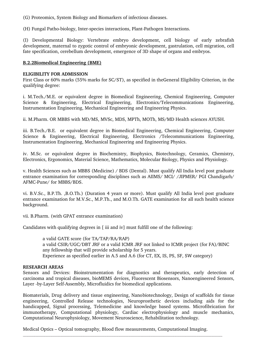(G) Proteomics, System Biology and Biomarkers of infectious diseases.

(H) Fungal Patho-biology, Inter-species interactions, Plant-Pathogen Interactions.

(I) Developmental Biology: Vertebrate embryo development, cell biology of early zebrafish development, maternal to zygotic control of embryonic development, gastrulation, cell migration, cell fate specification, cerebellum development, emergence of 3D shape of organs and embryos.

### **B.2.2Biomedical Engineering (BME)**

### **ELIGIBILITY FOR ADMISSION**

First Class or 60% marks (55% marks for SC/ST), as specified in theGeneral Eligibility Criterion, in the qualifying degree:

i. M.Tech./M.E. or equivalent degree in Biomedical Engineering, Chemical Engineering, Computer Science & Engineering, Electrical Engineering, Electronics/Telecommunications Engineering, Instrumentation Engineering, Mechanical Engineering and Engineering Physics.

ii. M.Pharm. OR MBBS with MD/MS, MVSc, MDS, MPTh, MOTh, MS/MD Health sciences AYUSH.

iii. B.Tech./B.E. or equivalent degree in Biomedical Engineering, Chemical Engineering, Computer Science & Engineering, Electrical Engineering, Electronics /Telecommunications Engineering, Instrumentation Engineering, Mechanical Engineering and Engineering Physics.

iv. M.Sc. or equivalent degree in Biochemistry, Biophysics, Biotechnology, Ceramics, Chemistry, Electronics, Ergonomics, Material Science, Mathematics, Molecular Biology, Physics and Physiology.

v. Health Sciences such as MBBS (Medicine) / BDS (Dental). Must qualify All India level post graduate entrance examination for corresponding disciplines such as AIIMS/ MCI/ /JIPMER/ PGI Chandigarh/ AFMC-Pune/ for MBBS/BDS.

vi. B.V.Sc., B.P.Th. ,B.O.Th.) (Duration 4 years or more). Must qualify All India level post graduate entrance examination for M.V.Sc., M.P.Th., and M.O.Th. GATE examination for all such health science background.

vii. B.Pharm. (with GPAT entrance examination)

Candidates with qualifying degrees in [iii and iv] must fulfill one of the following:

a valid GATE score (for TA/TAP/RA/RAP) a valid CSIR/UGC/DBT JRF or a valid ICMR JRF not linked to ICMR project (for FA)/BINC any fellowship that will provide scholarship for 5 years. Experience as specified earlier in A.5 and A.6 (for CT, EX, IS, PS, SF, SW category)

### **RESEARCH AREAS**

Sensors and Devices: Bioinstrumentation for diagnostics and therapeutics, early detection of carcinoma and tropical diseases, bioMEMS devices, Fluorescent Biosensors, Nanoengineered Sensors, Layer -by-Layer Self-Assembly, Microfluidics for biomedical applications.

Biomaterials, Drug delivery and tissue engineering, Nanobiotechnology, Design of scaffolds for tissue engineering, Controlled Release technologies, Neuroprosthetic devices including aids for the handicapped, Signal processing, Telemedicine and knowledge based systems. Microfibrication for immunotherapy, Computational physiology, Cardiac electrophysiology and muscle mechanics, Computational Neurophysiology, Movement Neuroscience, Rehabilitation technology.

Medical Optics – Optical tomography, Blood flow measurements, Computational Imaging.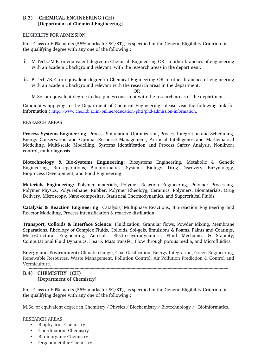# **B.3) CHEMICAL ENGINEERING (CH) [Department of Chemical Engineering]**

### ELIGIBILITY FOR ADMISSION

First Class or 60% marks (55% marks for SC/ST), as specified in the General Eligibility Criterion, in the qualifying degree with any one of the following :

- i. M.Tech./M.E. or equivalent degree in Chemical Engineering OR in other branches of engineering with an academic background relevant with the research areas in the department.
- ii. B.Tech./B.E. or equivalent degree in Chemical Engineering OR in other branches of engineering with an academic background relevant with the research areas in the department.

OR

M.Sc. or equivalent degree in disciplines consistent with the research areas of the department.

Candidates applying to the Department of Chemical Engineering, please visit the following link for information: http://www.che.iitb.ac.in/online/education/phd/phd-admission-information.

#### RESEARCH AREAS

**Process Systems Engineering:** Process Simulation, Optimization, Process Integration and Scheduling, Energy Conservation and Optimal Resource Management, Artificial Intelligence and Mathematical Modelling, Multi-scale Modelling, Systems Identification and Process Safety Analysis, Nonlinear control, fault diagnosis.

**Biotechnology & BioSystems Engineering:** Biosystems Engineering, Metabolic & Genetic Engineering, Bioseparations, Bioinformatics, Systems Biology, Drug Discovery, Enzymology, Bioprocess Development, and Food Engineering.

**Materials Engineering:** Polymer materials, Polymer Reaction Engineering, Polymer Processing, Polymer Physics, Polyurethane, Rubber, Polymer Rheoloyg, Ceramics, Polymers, Biomaterials, Drug Delivery, Microscopy, Nano-composites, Statistical Thermodynamics, and Supercritical Fluids.

Catalysis & Reaction Engineering: Catalysis, Multiphase Reactions, Bio-reaction Engineering and Reactor Modelling, Process intensification & reactive distillation.

**Transport, Colloids & Interface Science:** Fluidization, Granular flows, Powder Mixing, Membrane Separations, Rheology of Complex Fluids, Colloids, Sol-gels, Emulsions & Foams, Paints and Coatings, Microstructural Engineering, Aerosols, Electro-hydrodynamics, Fluid Mechanics & Stability, Computational Fluid Dynamics, Heat & Mass transfer, Flow through porous media, and Microfluidics.

**Energy and Environment:** Climate change, Coal Gasification, Energy Integration, Green Engineering, Renewable Resources, Waste Management, Pollution Control, Air Pollution Prediction & Control and Vermiculture.

### **B.4) CHEMISTRY**  (**CH) [Department of Chemistry]**

First Class or 60% marks (55% marks for SC/ST), as specified in the General Eligibility Criterion, in the qualifying degree with any one of the following :

M.Sc. or equivalent degree in Chemistry / Physics / Biochemistry / Biotechnology / Bioinformatics.

### RESEARCH AREAS

- Biophysical Chemistry
- Coordination Chemistry
- Bio-inorganic Chemistry
- Organometallic Chemistry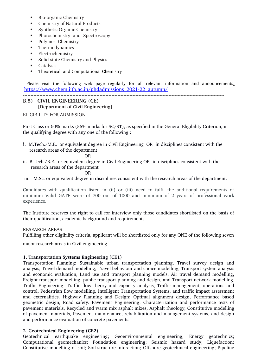- Bio-organic Chemistry
- Chemistry of Natural Products
- Synthetic Organic Chemistry
- Photochemistry and Spectroscopy
- Polymer Chemistry
- Thermodynamics
- Electrochemistry
- Solid state Chemistry and Physics
- Catalysis
- Theoretical and Computational Chemistry

Please visit the following web page regularly for all relevant information and announcements, https://www.chem.iitb.ac.in/phdadmissions\_2021-22\_autumn/

# **B.5) CIVIL ENGINEERING** (**CE) [Department of Civil Engineering]**

ELIGIBILITY FOR ADMISSION

First Class or 60% marks (55% marks for SC/ST), as specified in the General Eligibility Criterion, in the qualifying degree with any one of the following :

i. M.Tech./M.E. or equivalent degree in Civil Engineering OR in disciplines consistent with the research areas of the department

# **OR** Service Service Service Service Service Service Service Service Service Service Service Service Service Service Service Service Service Service Service Service Service Service Service Service Service Service Service S

ii. B.Tech./B.E. or equivalent degree in Civil Engineering OR in disciplines consistent with the research areas of the department

### OR

iii. M.Sc. or equivalent degree in disciplines consistent with the research areas of the department.

Candidates with qualification listed in (ii) or (iii) need to fulfil the additional requirements of minimum Valid GATE score of 700 out of 1000 and minimum of 2 years of professional work experience.

The Institute reserves the right to call for interview only those candidates shortlisted on the basis of their qualification, academic background and requirements

### RESEARCH AREAS

Fulfilling other eligibility criteria, applicant will be shortlisted only for any ONE of the following seven

major research areas in Civil engineering

### **1. Transportation Systems Engineering (CE1)**

Transportation Planning: Sustainable urban transportation planning, Travel survey design and analysis, Travel demand modelling, Travel behaviour and choice modelling, Transport system analysis and economic evaluation, Land use and transport planning models, Air travel demand modelling, Freight transport modelling, public transport planning and design, and Transport network modelling. Traffic Engineering: Traffic flow theory and capacity analysis, Traffic management, operations and control, Pedestrian flow modelling, Intelligent Transportation Systems, and traffic impact assessment and externalities. Highway Planning and Design: Optimal alignment design, Performance based geometric design, Road safety. Pavement Engineering: Characterization and performance tests of pavement materials, Recycled and warm mix asphalt mixes, Asphalt rheology, Constitutive modelling of pavement materials, Pavement maintenance, rehabilitation and management systems, and design and performance evaluation of concrete pavements.

# **2. Geotechnical Engineering (CE2)**

Geotechnical earthquake engineering; Geoenvironmental engineering; Energy geotechnics; Computational geomechanics; Foundation engineering; Seismic hazard study; Liquefaction; Constitutive modelling of soil; Soil-structure interaction; Offshore geotechnical engineering; Pipeline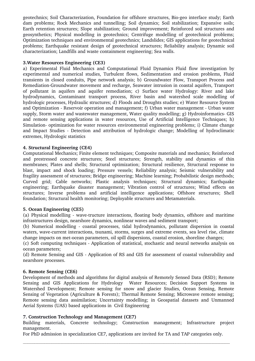geotechnics; Soil Characterization, Foundation for offshore structures, Biogeo interface study; Earth dam problems; Rock Mechanics and tunnelling; Soil dynamics; Soil stabilization; Expansive soils; Earth retention structures; Slope stabilization; Ground improvement; Reinforced soil structures and geosynthetics; Physical modelling in geotechnics; Centrifuge modelling of geotechnical problems; Optimization techniques and environmental geotechnics; Landslides; GIS applications for geotechnical problems; Earthquake resistant design of geotechnical structures; Reliability analysis; Dynamic soil characterization; Landfills and waste containment engineering; Sea walls.

### **3.Water Resources Engineering (CE3)**

a) Experimental Fluid Mechanics and Computational Fluid Dynamics Fluid flow investigation by experimental and numerical studies, Turbulent flows, Sedimentation and erosion problems, Fluid transients in closed conduits, Pipe network analysis; b) Groundwater Flow, Transport Process and Remediation-Groundwater movement and recharge, Seawater intrusion in coastal aquifers, Transport of pollutant in aquifers and aquifer remediation; c) Surface water Hydrology: River and lake hydrodynamics, Contaminant transport process, River basin and watershed scale modelling of hydrologic processes, Hydraulic structures; d) Floods and Droughts studies; e) Water Resource System and Optimization - Reservoir operation and management; f) Urban water management - Urban water supply, Storm water and wastewater management, Water quality modelling; g) Hydroinformatics- GIS and remote sensing applications in water resources, Use of Artificial Intelligence Techniques; h) Simulation optimization for water resources environmental engineering problems; i) Climate change and Impact Studies - Detection and attribution of hydrologic change; Modelling of hydroclimatic extremes, Hydrologic statistics

#### **4. Structural Engineering (CE4)**

Computational Mechanics; Finite element techniques; Composite materials and mechanics; Reinforced and prestressed concrete structures; Steel structures; Strength, stability and dynamics of thin membranes; Plates and shells; Structural optimization; Structural resilience, Structural response to blast, impact and shock loading; Pressure vessels; Reliability analysis; Seismic vulnerability and fragility assessment of structures; Bridge engineering; Machine learning; Probabilistic design methods; Curved grid; Cable networks; Plastic analysis techniques; Structural dynamics; Earthquake engineering; Earthquake disaster management; Vibration control of structures; Wind effects on structures; Inverse problems and artificial intelligence applications; Offshore structures; Shell foundation; Structural health monitoring; Deployable structures and Metamaterials.

#### **5. Ocean Engineering (CE5)**

(a) Physical modelling - wave-tructure interactions, floating body dynamics, offshore and maritime infrastructures design, nearshore dynamics, nonlinear waves and sediment transport;

(b) Numerical modelling coastal processes, tidal hydrodynamics, pollutant dispersion in coastal waters, wave-current interactions, tsunami, storms, surges and extreme events, sea level rise, climate change impacts on met-ocean parameters, oil spill dispersions, coastal erosion, shoreline changes;

(c) Soft computing techniques Application of statistical, stochastic and neural networks analysis on ocean parameters;

(d) Remote Sensing and GIS Application of RS and GIS for assessment of coastal vulnerability and nearshore processes.

#### **6. Remote Sensing (CE6)**

Development of methods and algorithms for digital analysis of Remotely Sensed Data (RSD); Remote Sensing and GIS Applications for Hydrology Water Resources; Decision Support Systems in Watershed Development; Remote sensing for snow and glacier Studies, Ocean Sensing, Remote Sensing of Vegetation (Agriculture & Forests); Thermal Remote Sensing; Microwave remote sensing; Remote sensing data assimilation; Uncertainty modelling; in Geospatial datasets and Unmanned Aerial Systems (UAS) based applications in Civil Engineering

### **7. Construction Technology and Management (CE7)**

Building materials, Concrete technology; Construction management; Infrastructure project management.

For PhD admission in specialization CE7, applications are invited for TA and TAP categories only.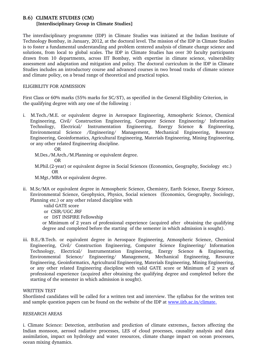### **B.6) CLIMATE STUDIES (CM) [Interdisciplinary Group in Climate Studies]**

The interdisciplinary programme (IDP) in Climate Studies was initiated at the Indian Institute of Technology Bombay, in January, 2012, at the doctoral level. The mission of the IDP in Climate Studies is to foster a fundamental understanding and problem centered analysis of climate change science and solutions, from local to global scales. The IDP in Climate Studies has over 30 faculty participants drawn from 10 departments, across IIT Bombay, with expertise in climate science, vulnerability assessment and adaptation and mitigation and policy. The doctoral curriculum in the IDP in Climate Studies includes an introductory course and advanced courses in two broad tracks of climate science and climate policy, on a broad range of theoretical and practical topics.

### ELIGIBILITY FOR ADMISSION

First Class or 60% marks (55% marks for SC/ST), as specified in the General Eligibility Criterion, in the qualifying degree with any one of the following :

i. M.Tech./M.E. or equivalent degree in Aerospace Engineering, Atmospheric Science, Chemical Engineering, Civil/ Construction Engineering, Computer Science Engineering/ Information Technology, Electrical/ Instrumentation Engineering, Energy Science & Engineering, Environmental Science /Engineering/ Management, Mechanical Engineering, Resource Engineering, Geoinformatics, Agricultural Engineering, Materials Engineering, Mining Engineering, or any other related Engineering discipline.

OR

- M.Des./M.Arch./M.Planning or equivalent degree.
	- OR
- M.Phil.(2-year) or equivalent degree in Social Sciences (Economics, Geography, Sociology etc.) OR

M.Mgt./MBA or equivalent degree.

- ii. M.Sc/MA or equivalent degree in Atmospheric Science, Chemistry, Earth Science, Energy Science, Environmental Science, Geophysics, Physics, Social sciences (Economics, Geography, Sociology, Planning etc.) or any other related discipline with
	- valid GATE score
	- or CSIR/UGC JRF
	- or DST INSPIRE Fellowship

or Minimum of 2 years of professional experience (acquired after obtaining the qualifying degree and completed before the starting of the semester in which admission is sought).

iii. B.E./B.Tech. or equivalent degree in Aerospace Engineering, Atmospheric Science, Chemical Engineering, Civil/ Construction Engineering, Computer Science Engineering/ Information Technology, Electrical/ Instrumentation Engineering, Energy Science & Engineering, Environmental Science/ Engineering/ Management, Mechanical Engineering, Resource Engineering, Geoinformatics, Agricultural Engineering, Materials Engineering, Mining Engineering, or any other related Engineering discipline with valid GATE score or Minimum of 2 years of professional experience (acquired after obtaining the qualifying degree and completed before the starting of the semester in which admission is sought).

### WRITTEN TEST

Shortlisted candidates will be called for a written test and interview. The syllabus for the written test and sample question papers can be found on the website of the IDP at www.iitb.ac.in/climate.

### RESEARCH AREAS

i. Climate Science: Detection, attribution and prediction of climate extremes,, factors affecting the Indian monsoon, aerosol radiative processes, LES of cloud processes, causality analysis and data assimilation, impact on hydrology and water resources, climate change impact on ocean processes, ocean mixing dynamics.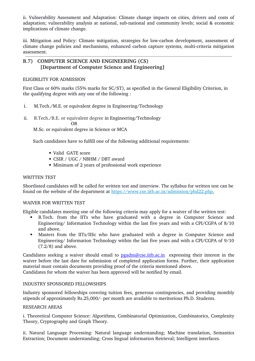ii. Vulnerability Assessment and Adaptation: Climate change impacts on cities, drivers and costs of adaptation; vulnerability analysis at national, sub-national and community levels; social & economic implications of climate change.

iii. Mitigation and Policy: Climate mitigation, strategies for low-carbon development, assessment of climate change policies and mechanisms, enhanced carbon capture systems, multi-criteria mitigation assessment.

# **B.7) COMPUTER SCIENCE AND ENGINEERING (CS)** [Department of Computer Science and Engineering]

### ELIGIBILITY FOR ADMISSION

First Class or 60% marks (55% marks for SC/ST), as specified in the General Eligibility Criterion, in the qualifying degree with any one of the following :

- i. M.Tech./M.E. or equivalent degree in Engineering/Technology
- ii. B.Tech./B.E. or equivalent degree in Engineering/Technology

**OR** OR

M.Sc. or equivalent degree in Science or MCA

Such candidates have to fulfill one of the following additional requirements:

- Valid GATE score
- CSIR / UGC / NBHM / DBT award
- Minimum of 2 years of professional work experience

### WRITTEN TEST

Shortlisted candidates will be called for written test and interview. The syllabus for written test can be found on the website of the department at https://www.cse.iitb.ac.in/admission/phd22.php.

### WAIVER FOR WRITTEN TEST

Eligible candidates meeting one of the following criteria may apply for a waiver of the written test:

- B.Tech. from the IITs who have graduated with a degree in Computer Science and Engineering/ Information Technology within the last five years and with a CPI/CGPA of 8/10 and above.
- Masters from the IITs/IISc who have graduated with a degree in Computer Science and Engineering/ Information Technology within the last five years and with a CPI/CGPA of 9/10 (7.2/8) and above.

Candidates seeking a waiver should email to **pgadm@cse.iitb.ac.in** expressing their interest in the waiver before the last date for submission of completed application forms. Further, their application material must contain documents providing proof of the criteria mentioned above. Candidates for whom the waiver has been approved will be notified by email.

### INDUSTRY SPONSORED FELLOWSHIPS

Industry sponsored fellowships covering tuition fees, generous contingencies, and providing monthly stipends of approximately Rs.25,000/- per month are available to meritorious Ph.D. Students.

#### RESEARCH AREAS

i. Theoretical Computer Science: Algorithms, Combinatorial Optimization, Combinatorics, Complexity Theory, Cryptography and Graph Theory.

ii. Natural Language Processing: Natural language understanding; Machine translation, Semantics Extraction; Document understanding; Cross lingual information Retrieval; Intelligent interfaces.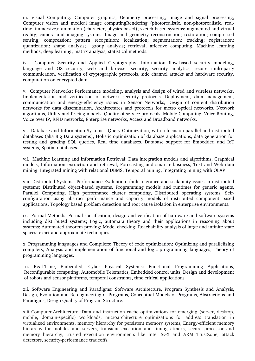iii. Visual Computing: Computer graphics, Geometry processing, Image and signal processing, Computer vision and medical image computingRendering (photorealistic, non-photorealistic, realtime, immersive); animation (character, physics-based); sketch-based systems; augmented and virtual reality; camera and imaging systems. Image and geometry reconstruction; restoration; compressed sensing; compression; pattern recognition; localization; segmentation; tracking; registration; quantization; shape analysis; group analysis; retrieval; affective computing. Machine learning methods; deep learning; matrix analysis; statistical methods.

iv. Computer Security and Applied Cryptography: Information flow-based security modeling, language and OS security, web and browser security, security analytics, secure multi-party communication, verification of cryptographic protocols, side channel attacks and hardware security, computation on encrypted data.

v. Computer Networks: Performance modeling, analysis and design of wired and wireless networks, Implementation and verification of network security protocols. Deployment, data management, communication and energyefficiency issues in Sensor Networks, Design of content distribution networks for data dissemination, Architectures and protocols for metro optical networks, Network algorithms, Utility and Pricing models, Quality of service protocols, Mobile Computing, Voice Routing, Voice over IP, RFID networks, Enterprise networks, Access and Broadband networks.

vi. Database and Information Systems: Query Optimization, with a focus on parallel and distributed databases (aka Big Data systems), Holistic optimization of database applications, data generation for testing and grading SQL queries, Real time databases, Database support for Embedded and IoT systems, Spatial databases.

vii. Machine Learning and Information Retrieval: Data integration models and algorithms, Graphical models, Information extraction and retrieval, Forecasting and smart e-business, Text and Web data mining. Integrated mining with relational DBMS, Temporal mining, Integrating mining with OLAP

viii. Distributed Systems: Performance Evaluation, fault tolerance and scalability issues in distributed systems; Distributed object-based systems, Programming models and runtimes for generic agents, Parallel Computing, High performance cluster computing, Distributed operating systems, Selfconfiguration using abstract performance and capacity models of distributed component based applications, Topology based problem detection and root cause isolation in enterprise environments.

ix. Formal Methods: Formal specification, design and verification of hardware and software systems including distributed systems; Logic, automata theory and their applications in reasoning about systems; Automated theorem proving; Model checking; Reachability analysis of large and infinite state spaces: exact and approximate techniques.

x. Programming languages and Compilers: Theory of code optimization; Optimizing and parallelizing compilers; Analysis and implementation of functional and logic programming languages; Theory of programming languages.

xi. RealTime, Embedded, Cyber Physical Systems: Functional Programming Applications, Reconfigurable computing, Automobile Telematics, Embedded control units, Design and development of robots and sensor platforms, temporal constraints, time critical applications

xii. Software Engineering and Paradigms: Software Architecture, Program Synthesis and Analysis, Design, Evolution and Re-engineering of Programs, Conceptual Models of Programs, Abstractions and Paradigms, Design Quality of Program Structure.

xiii Computer Architecture :Data and instruction cache optimizations for emerging (server, desktop, mobile, domain-specific) workloads, microarchitecture optimizations for address translation in virtualized environments, memory hierarchy for persistent memory systems, Energy-efficient memory hierarchy for mobiles and servers, transient execution and timing attacks, secure processor and memory hierarchy, trusted execution environments like Intel SGX and ARM TrustZone, attack detectors, security-performance tradeoffs.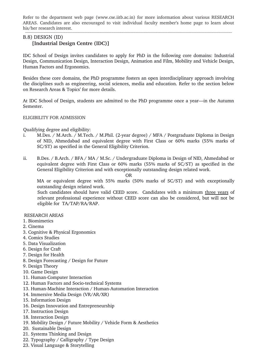Refer to the department web page (www.cse.iitb.ac.in) for more information about various RESEARCH AREAS. Candidates are also encouraged to visit individual faculty member's home page to learn about his/her research interest.

#### B.8) DESIGN (ID)  **[Industrial Design Centre (IDC)]**

IDC School of Design invites candidates to apply for PhD in the following core domains: Industrial Design, Communication Design, Interaction Design, Animation and Film, Mobility and Vehicle Design, Human Factors and Ergonomics.

Besides these core domains, the PhD programme fosters an open interdisciplinary approach involving the disciplines such as engineering, social sciences, media and education. Refer to the section below on Research Areas & Topics' for more details.

At IDC School of Design, students are admitted to the PhD programme once a year—in the Autumn Semester.

### ELIGIBILITY FOR ADMISSION

#### Qualifying degree and eligibility:

- i. M.Des. / M.Arch. / M.Tech. / M.Phil. (2-year degree) / MFA / Postgraduate Diploma in Design of NID, Ahmedabad and equivalent degree with First Class or 60% marks (55% marks of SC/ST) as specified in the General Eligibility Criterion.
- ii. B.Des. / B.Arch. / BFA / MA / M.Sc. / Undergraduate Diploma in Design of NID, Ahmedabad or equivalent degree with First Class or 60% marks (55% marks of SC/ST) as specified in the General Eligibility Criterion and with exceptionally outstanding design related work.

OR

MA or equivalent degree with 55% marks (50% marks of SC/ST) and with exceptionally outstanding design related work.

Such candidates should have valid CEED score. Candidates with a minimum three years of relevant professional experience without CEED score can also be considered, but will not be eligible for TA/TAP/RA/RAP.

#### RESEARCH AREAS

- 1. Biomimetics
- 2. Cinema
- 3. Cognitive & Physical Ergonomics
- 4. Comics Studies
- 5. Data Visualization
- 6. Design for Craft
- 7. Design for Health
- 8. Design Forecasting / Design for Future
- 9. Design Theory
- 10. Game Design
- 11. Human-Computer Interaction
- 12. Human Factors and Socio-technical Systems
- 13. Human-Machine Interaction / Human-Automation Interaction
- 14. Immersive Media Design (VR/AR/XR)
- 15. Information Design
- 16. Design Innovation and Entrepreneurship
- 17. Instruction Design
- 18. Interaction Design
- 19. Mobility Design / Future Mobility / Vehicle Form & Aesthetics
- 20. Sustainable Design
- 21. Systems Thinking and Design
- 22. Typography / Calligraphy / Type Design
- 23. Visual Language & Storytelling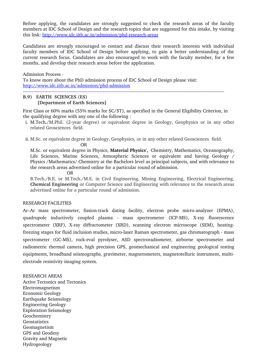Before applying, the candidates are strongly suggested to check the research areas of the faculty members at IDC School of Design and the research topics that are suggested for this intake, by visiting this link: http://www.idc.iitb.ac.in/admission/phd-research-areas

Candidates are strongly encouraged to contact and discuss their research interests with individual faculty members of IDC School of Design before applying, to gain a better understanding of the current research focus. Candidates are also encouraged to work with the faculty member, for a few months, and develop their research areas before the application.

Admission Process

To know more about the PhD admission process of IDC School of Design please visit: http://www.idc.iitb.ac.in/admission/phd-admission

#### **B.9) EARTH SCIENCES** (**ES) [Department of Earth Sciences]**

First Class or 60% marks (55% marks for SC/ST), as specified in the General Eligibility Criterion, in the qualifying degree with any one of the following :

- i. M.Tech./M.Phil. (2-year degree) or equivalent degree in Geology, Geophysics or in any other related Geosciences field.
- ii. M.Sc. or equivalent degree in Geology, Geophysics, or in any other related Geosciences field.

**OR** Service Service Service Service Service Service Service Service Service Service Service Service Service Service Service Service Service Service Service Service Service Service Service Service Service Service Service S M.Sc. or equivalent degree in Physics, **Material Physics',** Chemistry, Mathematics, Oceanography, Life Sciences, Marine Sciences, Atmospheric Sciences or equivalent and having Geology / Physics /Mathematics/ Chemistry at the Bachelors level as principal subjects, and with relevance to the research areas advertised online for a particular round of admission.

OR

B.Tech./B.E. or M.Tech./M.E. in Civil Engineering, Mining Engineering, Electrical Engineering, **Chemical Engineering** or Computer Science and Engineering with relevance to the research areas advertised online for a particular round of admission.

#### RESEARCH FACILITIES

Ar–Ar mass spectrometer, fission-track dating facility, electron probe micro-analyzer (EPMA), quadrupole inductively coupled plasma - mass spectrometer (ICP-MS), X-ray fluorescence spectrometer (XRF), X-ray diffractometer (XRD), scanning electron microscope (SEM), heatingfreezing stages for fluid inclusion studies, micro-laser Raman spectrometer, gas chromatograph - mass spectrometer (GC-MS), rock-eval pyrolyser, ASD spectroradiometer, airborne spectrometer and radiometric thermal camera, high precision GPS, geomechanical and engineering geological testing equipments, broadband seismographs, gravimeter, magnetometers, magnetotelluric instrument, multielectrode resistivity imaging system.

#### RESEARCH AREAS

Active Tectonics and Tectonics Electromagnetism Economic Geology Earthquake Seismology Engineering Geology Exploration Seismology Geochemistry Geostatistics Geomagnetism GPS and Geodesy Gravity and Magnetic Hydrogeology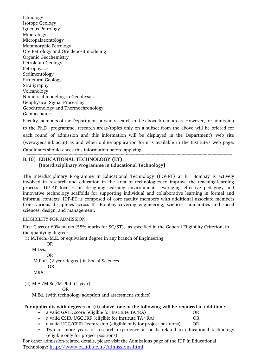Ichnology Isotope Geology Igneous Petrology Mineralogy Micropalaeontology Metamorphic Petrology Ore Petrology and Ore deposit modeling Organic Geochemistry Petroleum Geology Petrophysics Sedimentology Structural Geology Stratigraphy Volcanology Numerical modeling in Geophysics Geophysical Signal Processing Geochronology and Thermochronology Geomechanics

Faculty members of the Department pursue research in the above broad areas. However, for admission to the Ph.D. programme, research areas/topics only on a subset from the above will be offered for each round of admission and this information will be displayed in the Department's web site (www.geos.iitb.ac.in) as and when online application form is available in the Institute's web page. Candidates should check this information before applying.

# **B.10) EDUCATIONAL TECHNOLOGY (ET) [Interdisciplinary Programme in Educational Technology]**

The Interdisciplinary Programme in Educational Technology (IDP-ET) at IIT Bombay is actively involved in research and education in the area of technologies to improve the teaching-learning process. IDP-ET focuses on designing learning environments leveraging effective pedagogy and innovative technology scaffolds for supporting individual and collaborative learning in formal and informal contexts. IDP-ET is composed of core faculty members with additional associate members from various disciplines across IIT Bombay covering engineering, sciences, humanities and social sciences, design, and management.

# ELIGIBILITY FOR ADMISSION

First Class or 60% marks (55% marks for SC/ST), as specified in the General Eligibility Criterion, in the qualifying degree:

(i) M.Tech./M.E. or equivalent degree in any branch of Engineering

 OR M.Des. OR M.Phil. (2-year degree) in Social Sciences OR MBA

(ii) M.A./M.Sc./M.Phil. (1 year)

OR

M.Ed. (with technology adoption and assessment studies)

# **For applicants with degrees in (ii) above, one of the following will be required in addition :**

- a valid GATE score (eligible for Institute TA/RA) OR
- a valid CSIR/UGC JRF (eligible for Institute TA/ RA) OR

a valid UGC/CSIR Lectureship (eligible only for project positions) OR

 Two or more years of research experience in fields related to educational technology (eligible only for project positions)

For other admission-related details, please visit the Admissions page of the IDP in Educational Technology:  http://www.et.iitb.ac.in/Admissions.html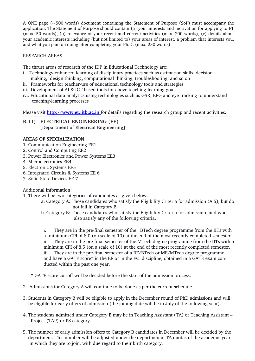A ONE page (~500 words) document containing the Statement of Purpose (SoP) must accompany the application. The Statement of Purpose should contain (a) your interests and motivation for applying to ET (max. 50 words), (b) relevance of your recent and current activities (max. 200 words), (c) details about your academic interests including (but not limited to) your areas of interest, a problem that interests you, and what you plan on doing after completing your Ph.D. (max. 250 words)

# RESEARCH AREAS

The thrust areas of research of the IDP in Educational Technology are:

- i. Technology-enhanced learning of disciplinary practices such as estimation skills, decision making, design thinking, computational thinking, troubleshooting, and so on
- ii. Frameworks for teacher-use of educational technology tools and strategies
- iii. Development of AI & ICT based tools for above teaching-learning goals
- iv.. Educational data analytics using technologies such as GSR, EEG and eye tracking to understand teaching-learning processes

Please visit **http://www.et.iitb.ac.in** for details regarding the research group and recent activities.

# **B.11) ELECTRICAL ENGINEERING** (**EE) [Department of Electrical Engineering]**

### **AREAS OF SPECIALIZATION**

- 1. Communication Engineering EE1
- 2. Control and Computing EE2
- 3. Power Electronics and Power Systems EE3
- 4. Microelectronics EE4
- 5. Electronic Systems EE5
- 6. Integrated Circuits & Systems EE 6
- 7. Solid State Devices EE 7

# Additional Information:

- 1. There will be two categories of candidates as given below:
	- a. Category A: Those candidates who satisfy the Eligibility Criteria for admission (A.5), but do not fall in Category B.

b. Category B: Those candidates who satisfy the Eligibility Criteria for admission, and who also satisfy any of the following criteria,

i. They are in the pre-final semester of the BTech degree programme from the IITs with a minimum CPI of 8.0 (on scale of 10) at the end of the most recently completed semester. ii. They are in the pre-final semester of the MTech degree programme from the IITs with a minimum CPI of 8.5 (on a scale of 10) at the end of the most recently completed semester. iii. They are in the prefinal semester of a BE/BTech or ME/MTech degree programme, and have a GATE score\* in the EE or in the EC discipline, obtained in a GATE exam conducted within the past one year.

\* GATE score cut-off will be decided before the start of the admission process.

- 2. Admissions for Category A will continue to be done as per the current schedule.
- 3. Students in Category B will be eligible to apply in the December round of PhD admissions and will be eligible for early offers of admission (the joining date will be in July of the following year).
- 4. The students admitted under Category B may be in Teaching Assistant (TA) or Teaching Assistant Project (TAP) or PS category.
- 5. The number of early admission offers to Category B candidates in December will be decided by the department. This number will be adjusted under the departmental TA quotas of the academic year in which they are to join, with due regard to their birth category.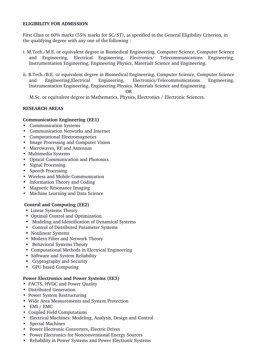#### **ELIGIBILITY FOR ADMISSION**

First Class or 60% marks (55% marks for SC/ST), as specified in the General Eligibility Criterion, in the qualifying degree with any one of the following :

- i. M.Tech./M.E. or equivalent degree in Biomedical Engineering, Computer Science, Computer Science and Engineering, Electrical Engineering, Electronics/ Telecommunications Engineering, Instrumentation Engineering, Engineering Physics, Materials Science and Engineering.
- ii. B.Tech./B.E. or equivalent degree in Biomedical Engineering, Computer Science, Computer Science and Engineering,Electrical Engineering, Electronics/Telecommunications Engineering, Instrumentation Engineering, Engineering Physics, Materials Science and Engineering.

#### OR

M.Sc. or equivalent degree in Mathematics, Physics, Electronics / Electronic Sciences.

### **RESEARCH AREAS**

#### **Communication Engineering (EE1)**

- Communication Systems
- Communication Networks and Internet
- Computational Electromagnetics
- Image Processing and Computer Vision
- Microwaves, RF and Antennas
- Multimedia Systems
- Optical Communication and Photonics
- Signal Processing
- Speech Processing
- Wireless and Mobile Communication
- Information Theory and Coding
- Magnetic Resonance Imaging
- Machine Learning and Data Science

#### **Control and Computing (EE2)**

- Linear Systems Theory
- Optimal Control and Optimization
- Modeling and Identification of Dynamical Systems
- Control of Distributed Parameter Systems
- Nonlinear Systems
- Modern Filter and Network Theory
- Behavioral Systems Theory
- Computational Methods in Electrical Engineering
- Software and System Reliability
- Cryptography and Security
- GPU based Computing

#### **Power Electronics and Power Systems (EE3)**

- FACTS, HVDC and Power Ouality
- Distributed Generation
- Power System Restructuring
- Wide Area Measurements and System Protection
- EMI / EMC
- Coupled Field Computations
- Electrical Machines: Modeling, Analysis, Design and Control
- Special Machines
- Power Electronic Converters, Electric Drives
- Power Electronics for Nonconventional Energy Sources
- Reliability in Power Systems and Power Electronic Systems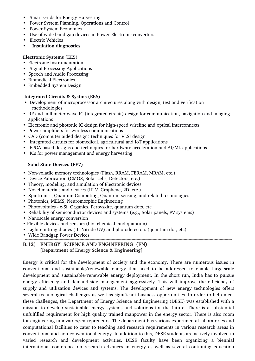- Smart Grids for Energy Harvesting
- Power System Planning, Operations and Control
- Power System Economics
- Use of wide band gap devices in Power Electronic converters
- Electric Vehicles
- **Insulation diagnostics**

### **Electronic Systems (EE5)**

- Electronic Instrumentation
- Signal Processing Applications
- Speech and Audio Processing
- Biomedical Electronics
- Embedded System Design

### **Integrated Circuits & Systms (E**E6)

- Development of microprocessor architectures along with design, test and verification methodologies
- RF and millimeter wave IC (integrated circuit) design for communication, navigation and imaging applications
- Electronic and photonic IC design for high-speed wireline and optical interconnects
- Power amplifiers for wireless communications
- CAD (computer aided design) techniques for VLSI design
- Integrated circuits for biomedical, agricultural and IoT applications
- FPGA based designs and techniques for hardware acceleration and AI/ML applications.
- ICs for power management and energy harvesting

### **Solid State Devices (EE7)**

- Non-volatile memory technologies (Flash, RRAM, FERAM, MRAM, etc.)
- Device Fabrication (CMOS, Solar cells, Detectors, etc.)
- Theory, modeling, and simulation of Electronic devices
- Novel materials and devices (III-V, Graphene, 2D, etc.)
- Spintronics, Quantum Computing, Quantum sensing, and related technologies
- Photonics, MEMS, Neuromorphic Engineering
- Photovoltaics c-Si, Organics, Perovskite, quantum dots, etc.
- Reliability of semiconductor devices and systems (e.g., Solar panels, PV systems)
- Nanoscale energy conversion
- Flexible devices and sensors (bio, chemical, and quantum)
- Light emitting diodes (III-Nitride UV) and photodetectors (quantum dot, etc)
- Wide Bandgap Power Devices

# **B.12) ENERGY SCIENCE AND ENGINEERING (EN) [Department of Energy Science & Engineering]**

Energy is critical for the development of society and the economy. There are numerous issues in conventional and sustainable/renewable energy that need to be addressed to enable large-scale development and sustainable/renewable energy deployment. In the short run, India has to pursue energy efficiency and demand-side management aggressively. This will improve the efficiency of supply and utilization devices and systems. The development of new energy technologies offers several technological challenges as well as significant business opportunities. In order to help meet these challenges, the Department of Energy Science and Engineering (DESE) was established with a mission to develop sustainable energy systems and solutions for the future. There is a substantial unfulfilled requirement for high quality trained manpower in the energy sector. There is also room for engineering innovators/entrepreneurs. The department has various experimental laboratories and computational facilities to cater to teaching and research requirements in various research areas in conventional and non-conventional energy. In addition to this, DESE students are actively involved in varied research and development activities. DESE faculty have been organizing a biennial international conference on research advances in energy as well as several continuing education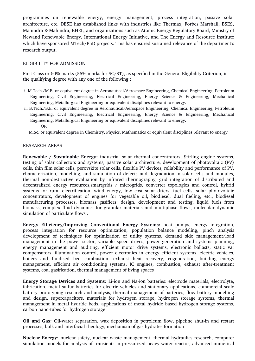programmes on renewable energy, energy management, process integration, passive solar architecture, etc. DESE has established links with industries like Thermax, Forbes Marshall, BSES, Mahindra & Mahindra, BHEL, and organizations such as Atomic Energy Regulatory Board, Ministry of Newand Renewable Energy, International Energy Initiative, and The Energy and Resource Institute which have sponsored MTech/PhD projects. This has ensured sustained relevance of the department's research output.

### ELIGIBILITY FOR ADMISSION

First Class or 60% marks (55% marks for SC/ST), as specified in the General Eligibility Criterion, in the qualifying degree with any one of the following :

- i. M.Tech./M.E. or equivalent degree in Aeronautical/Aerospace Engineering, Chemical Engineering, Petroleum Engineering, Civil Engineering, Electrical Engineering, Energy Science & Engineering, Mechanical Engineering, Metallurgical Engineering or equivalent disciplines relevant to energy.
- ii. B.Tech./B.E. or equivalent degree in Aeronautical/Aerospace Engineering, Chemical Engineering, Petroleum Engineering, Civil Engineering, Electrical Engineering, Energy Science & Engineering, Mechanical Engineering, Metallurgical Engineering or equivalent disciplines relevant to energy. OR

M.Sc. or equivalent degree in Chemistry, Physics, Mathematics or equivalent disciplines relevant to energy.

#### RESEARCH AREAS

**Renewable / Sustainable Energy: i**ndustrial solar thermal concentrators, Stirling engine systems, testing of solar collectors and systems, passive solar architecture, development of photovoltaic (PV) cells, thin film solar cells, perovskite solar cells, flexible PV devices, reliability and performance of PV, characterization, modelling, and simulation of defects and degradation in solar cells and modules, thermal non-destructive evaluation by infrared thermography, grid integration of distributed and decentralized energy resources,smartgrids / microgrids, converter topologies and control, hvbrid systems for rural electrification, wind energy, low cost solar driers, fuel cells, solar photovoltaic concentrators, development of engines for vegetable oil, biodiesel, dual fueling, etc., biodiesel manufacturing processes, biomass gasifiers: design, development and testing, liquid fuels from biomass, complex fluid dynamics for granular materials and multiphase flows, molecular dynamic simulation of particulate flows .

**Energy Efficiency/Improving Conventional Energy Systems:** heat pumps, energy integration, process integration for resource optimization, population balance modeling, pinch analysis development of techniques for optimization of utility systems, demand side management/load management in the power sector, variable speed drives, power generation and systems planning, energy management and auditing, efficient motor drive systems, electronic ballasts, static var compensators, illumination control, power electronics in energy efficient systems, electric vehicles, boilers and fluidised bed combustion, exhaust heat recovery, cogeneration, building energy management, efficient air conditioning systems, IC engines, combustion, exhaust after-treatment systems, coal gasification, thermal management of living spaces

**Energy Storage Devices and Systems:** Li-ion and Na-ion batteries: electrode materials, electrolyte, fabrication, metal sulfur batteries for electric vehicles and stationary applications, commercial scale battery prototyping research and analysis, thermal management of batteries, flow battery modelling and design, supercapacitors, materials for hydrogen storage, hydrogen storage systems, thermal management in metal hydride beds, applications of metal hydride based hydrogen storage systems, carbon nano-tubes for hydrogen storage

Oil and Gas: Oil-water separation, wax deposition in petroleum flow, pipeline shut-in and restart processes, bulk and interfacial rheology, mechanism of gas hydrates formation

**Nuclear Energy:** nuclear safety, nuclear waste management, thermal hydraulics research, computer simulation models for analysis of transients in pressurized heavy water reactor, advanced numerical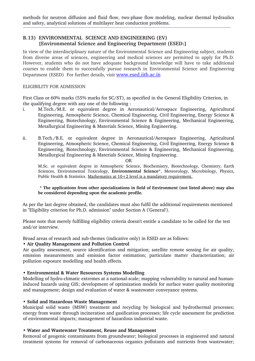methods for neutron diffusion and fluid flow, two-phase flow modeling, nuclear thermal hydraulics and safety, analytical solutions of multilayer heat conduction problems. 

### **B.13) ENVIRONMENTAL SCIENCE AND ENGINEERING (EV) [Environmental Science and Engineering Department (ESED**)**]**

In view of the interdisciplinary nature of the Environmental Science and Engineering subject, students from diverse areas of sciences, engineering and medical sciences are permitted to apply for Ph.D. However, students who do not have adequate background knowledge will have to take additional courses to enable them to successfully pursue research in Environmental Science and Engineering Department (ESED) For further details, visit [www.esed.iitb.ac.in](http://www.esed.iitb.ac.in/)

#### ELIGIBILITY FOR ADMISSION

First Class or 60% marks (55% marks for SC/ST), as specified in the General Eligibility Criterion, in the qualifying degree with any one of the following :

- i. M.Tech./M.E. or equivalent degree in Aeronautical/Aerospace Engineering, Agricultural Engineering, Atmospheric Science, Chemical Engineering, Civil Engineering, Energy Science & Engineering, Biotechnology, Environmental Science & Engineering, Mechanical Engineering, Metallurgical Engineering & Materials Science, Mining Engineering.
- ii. B.Tech./B.E. or equivalent degree in Aeronautical/Aerospace Engineering, Agricultural Engineering, Atmospheric Science, Chemical Engineering, Civil Engineering, Energy Science & Engineering, Biotechnology, Environmental Science & Engineering, Mechanical Engineering, Metallurgical Engineering & Materials Science, Mining Engineering.

OR

M.Sc. or equivalent degree in Atmospheric Science, Biochemistry, Biotechnology, Chemistry, Earth Sciences, Environmental Toxicology, **Environmental Science\***, Meteorology, Microbiology, Physics, Public Health & Statistics. Mathematics at  $10+2$  level is a mandatory requirement.

#### **\* The applications from other specializations in field of Environment (not listed above) may also be considered depending upon the academic profile.**

As per the last degree obtained, the candidates must also fulfil the additional requirements mentioned in "Eligibility criterion for Ph.D. admission" under Section A ('General').

Please note that merely fulfilling eligibility criteria doesn't entitle a candidate to be called for the test and/or interview.

Broad areas of research and sub-themes (indicative only) in ESED are as follows:

### • **Air Quality Management and Pollution Control**

Air quality assessment, source identification and mitigation; satellite remote sensing for air quality; emission measurements and emission factor estimation; particulate matter characterization; air pollution exposure modelling and health effects.

### **• Environmental & Water Resources Systems Modelling**

Modelling of hydro-climatic extremes at a national-scale; mapping vulnerability to natural and humaninduced hazards using GIS; development of optimization models for surface water quality monitoring and management; design and evaluation of water & wastewater conveyance systems.

### **• Solid and Hazardous Waste Management**

Municipal solid waste (MSW) treatment and recycling by biological and hydrothermal processes; energy from waste through incineration and gasification processes; life cycle assessment for prediction of environmental impacts; management of hazardous industrial waste.

### **• Water and Wastewater Treatment, Reuse and Management**

Removal of geogenic contaminants from groundwater; biological processes in engineered and natural treatment systems for removal of carbonaceous organics pollutants and nutrients from wastewater;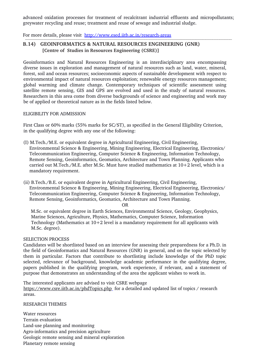advanced oxidation processes for treatment of recalcitrant industrial effluents and micropollutants; greywater recycling and reuse; treatment and reuse of sewage and industrial sludge.

For more details, please visit http://www.esed.iitb.ac.in/research-areas

# **B.14) GEOINFORMATICS & NATURAL RESOURCES ENGINEERING (GNR) [Centre of Studies in Resources Engineering (CSRE)]**

Geoinformatics and Natural Resources Engineering is an interdisciplinary area encompassing diverse issues in exploration and management of natural resources such as land, water, mineral, forest, soil and ocean resources; socioeconomic aspects of sustainable development with respect to environmental impact of natural resources exploitation; renewable energy resources management; global warming and climate change. Contemporary techniques of scientific assessment using satellite remote sensing, GIS and GPS are evolved and used in the study of natural resources. Researchers in this area come from diverse backgrounds of science and engineering and work may be of applied or theoretical nature as in the fields listed below.

#### ELIGIBILITY FOR ADMISSION

First Class or 60% marks (55% marks for SC/ST), as specified in the General Eligibility Criterion, in the qualifying degree with any one of the following:

- (I) M.Tech./M.E. or equivalent degree in Agricultural Engineering, Civil Engineering, Environmental Science & Engineering, Mining Engineering, Electrical Engineering, Electronics/ Telecommunication Engineering, Computer Science & Engineering, Information Technology, Remote Sensing, Geoinformatics, Geomatics, Architecture and Town Planning. Applicants who carried out M.Tech./M.E. after M.Sc. Must have studied mathematics at 10+2 level, which is a mandatory requirement.
- (ii) B.Tech./B.E. or equivalent degree in Agricultural Engineering, Civil Engineering, Environmental Science & Engineering, Mining Engineering, Electrical Engineering, Electronics/ Telecommunication Engineering, Computer Science & Engineering, Information Technology, Remote Sensing, Geoinformatics, Geomatics, Architecture and Town Planning.

OR

M.Sc. or equivalent degree in Earth Sciences, Environmental Science, Geology, Geophysics, Marine Sciences, Agriculture, Physics, Mathematics, Computer Science, Information Technology (Mathematics at  $10+2$  level is a mandatory requirement for all applicants with M.Sc. degree).

#### SELECTION PROCESS

Candidates will be shortlisted based on an interview for assessing their preparedness for a Ph.D. in the field of Geoinformatics and Natural Resources (GNR) in general, and on the topic selected by them in particular. Factors that contribute to shortlisting include knowledge of the PhD topic selected, relevance of background, knowledge academic performance in the qualifying degree, papers published in the qualifying program, work experience, if relevant, and a statement of purpose that demonstrates an understanding of the area the applicant wishes to work in.

The interested applicants are advised to visit CSRE webpage <https://www.csre.iitb.ac.in/phdTopics.php> for a detailed and updated list of topics / research areas.

### RESEARCH THEMES

Water resources Terrain evaluation Land-use planning and monitoring Agro-informatics and precision agriculture Geologic remote sensing and mineral exploration Planetary remote sensing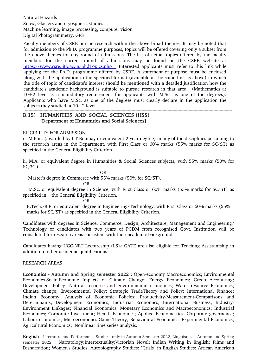Natural Hazards Snow, Glaciers and cryospheric studies Machine learning, image processing, computer vision Digital Photogrammetry, GPS

Faculty members of CSRE pursue research within the above broad themes. It may be noted that for admission to the Ph.D. programme purposes, topics will be offered covering only a subset from the above themes for any round of admissions. The list of actual topics offered by the faculty members for the current round of admissions may be found on the CSRE website at <https://www.csre.iitb.ac.in/phdTopics.php>Interested applicants must refer to this link while applying for the Ph.D. programme offered by CSRE. A statement of purpose must be enclosed along with the application in the specified format (available at the same link as above) in which the title of topic of candidate's interest should be mentioned with a detailed justification how the candidate's academic background is suitable to pursue research in that area. (Mathematics at  $10+2$  level is a mandatory requirement for applicants with M.Sc. as one of the degrees). Applicants who have M.Sc. as one of the degrees must clearly declare in the application the subjects they studied at  $10+2$  level. 

### **B.15) HUMANITIES AND SOCIAL SCIENCES (HSS) [Department of Humanities and Social Sciences]**

#### ELIGIBILITY FOR ADMISSION

i. M.Phil. (awarded by IIT Bombay or equivalent 2-year degree) in any of the disciplines pertaining to the research areas in the Department, with First Class or 60% marks (55% marks for SC/ST) as specified in the General Eligibility Criterion.

ii. M.A. or equivalent degree in Humanities & Social Sciences subjects, with 55% marks (50% for SC/ST).

OR

Master's degree in Commerce with 55% marks (50% for SC/ST).

**OR** Service Service Service Service Service Service Service Service Service Service Service Service Service Service Service Service Service Service Service Service Service Service Service Service Service Service Service S

 M.Sc. or equivalent degree in Science, with First Class or 60% marks (55% marks for SC/ST) as specified in the General Eligibility Criterion.

**OR** Service Service Service Service Service Service Service Service Service Service Service Service Service Service Service Service Service Service Service Service Service Service Service Service Service Service Service S

 B.Tech./B.E. or equivalent degree in Engineering/Technology, with First Class or 60% marks (55% marks for SC/ST) as specified in the General Eligibility Criterion.

Candidates with degrees in Science, Commerce, Design, Architecture, Management and Engineering/ Technology or candidates with two years of PGDM from recognised Govt. Institution will be considered for research areas consistent with their academic background.

Candidates having UGC-NET Lectureship (LS)/ GATE are also eligible for Teaching Assistantship in addition to other academic qualifications

#### RESEARCH AREAS

**Economics - Autumn and Spring semester 2022** : Open-economy Macroeconomics; Environmental Economics-Socio-Economic Impacts of Climate Change; Energy Economics; Green Accounting; Development Policy; Natural resource and environmental economics; Water resource Economics; Climate change; Environmental Policy; Strategic TradeTheory and Policy; International Finance; Indian Economy; Analysis of Economic Policies; Productivity-Measurement-Comparisons and Determinants; Development Economics; Industrial Economics; International Business; Industry-Environment Linkages; Financial Economics; Monetary Economics and Macroeconomics; Industrial Economics; Corporate Investment; Health Economics; Applied Econometrics; Corporate governance; Labour economics; Microeconomics-Game Theory; Behavioural Economics; Experimental Economics; Agricultural Economics; Nonlinear time series analysis.

**English -** Literature and Performance Studies- only in Autumn Semester 2022, Linguistics - - Autumn and Spring semester 2022 : Narratology;Intertextuality;Victorian Novel; Indian Writing in English; Films and Disnarration; Women's Studies; Autobiography Studies; "Crisis" in English Studies; African American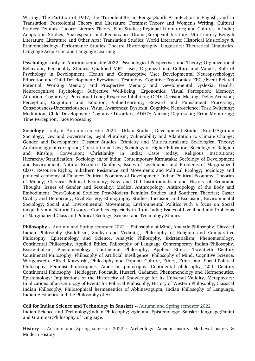Writing: The Partition of 1947; the 'Turbulent40s' in Bengal:South AsianFiction-in English: and in Translation; Postcolonial Theory and Literature; Feminist Theory and Women's Writing; Cultural Studies; Feminist Theory; Literary Theory; Film Studies; Regional Literatures; and Cultures in India; Adaptation Studies; Shakespeare and Renaissance Drama;EuropeanLiterature;19th Century Bengali Literature; Literature and Other Arts; Translation Studies; World Literature; Historical Musicology & Ethnomusicology; Performance Studies, Theatre Historiography, Linguistics: Theoretical Linguistics, Language Acquistion and Language Learning

**Psychology only in Autumn semester 2022**: Psychological Perspectives and Theory; Organizational Behaviour; Personality Studies; Qualified MBTI user; Organizational Culture and Values; Role of Psychology in Development; Health and Contraceptive Use; Developmental Neuropsychology; Education and Child Development; Eyewitness Testimony; Cognitive Ergonomics; EEG /Event Related Potential; Working Memory and Prospective Memory and Developmental Dyslexia; Health-Neurocognitive Psychology; Subjective Well-Being; Ergonomics; Visual Perception; Memory; Attention; Cognitive / Perceptual Load; Response Inhibition; ODD; Decision-Making; Delay Aversion; Perception; Cognition and Emotion; Value-Learning; Reward and Punishment Processing; Consciousness-Unconsciousness; Visual Awareness; Dyslexia; Cognitive Neuroscience; Task Switching; Meditation; Child Development; Cognitive Disorders; ADHD; Autism; Depression; Error Monitoring; Time Perception; Face Processing

**Sociology -** only in Autumn semester 2022 : Urban Studies; Development Studies; Rural/Agrarian Sociology; Law and Governance; Legal Pluralism; Vulnerability and Adaptation to Climate Change; Gender and Development; Disaster Studies; Ethnicity and Multiculturalism;; Sociological Theory; Anthropology of corruption; Constitutional Law; Sociology of Higher Education; Sociology of Religion and Kinship; Conversion; Christianity in India; Caste today; Religious Institutions; Hierarchy/Stratification; Sociology in/of India; Contemporary Karnataka; Sociology of Development and Environment; Natural Resource Conflicts; Issues of Livelihoods and Problems of Marginalized Class; Resource Rights; Subaltern Resistance and Movements and Political Ecology; Sociology and political economy of Finance; Political Economy of Development; Indian Political Economy; Theories of Money; Classical Political Economy; New and Old Institutionalism and History of Economic Thought; Issues of Gender and Sexuality; Medical Anthropology; Anthropology of the Body and Embodiment; Post-Colonial Studies; Post-Modern Feminist Studies and Southern Theories; Caste: Civility and Democracy; Civil Society, Ethnography Studies; Inclusion and Exclusion; Environmental Sociology; Social and Environmental Movements; Environmental Politics with a focus on Social inequality and Natural Resource Conflicts especially in Rural India; Issues of Livelihood and Problems of Marginalized Class and Political Ecology; Science and Technology Studies

**Philosophy**  Autumn and Spring semester 2022 **:** Philosophy of Mind, Analytic Philosophy, Classical Indian Philosophy (Buddhism, Sankya and Vedanta), Philosophy of Religion and Comparative Philosophy, Epistemology and Science, Analytic Philosophy, Existentialism, Phenomenology, Continental Philosophy, Applied Ethics, Philosophy of Language Contemporary Indian Philosophy, Existentialism, Phenomenology, Continental Philosophy, Applied Ethics, Twentieth Century Continental Philosophy, Philosophy of Artificial Intelligence, Philosophy of Mind, Cognitive Science, Wittgenstein, Alfred Korzybski, Philosophy and Popular Culture, Ethics, Ethics and Social-Political Philosophy, Feminist Philosophies, American philosophy, Continental philosophy, 20th Century Continental Philosophy: Heidegger, Foucault, Husserl, Gadamer, Phenomenology and Hermeneutics, Epistemology: Implications of the Historicity of Knowledge for its Universal Validity, Metaphysics: Implications of an Ontology of Events for Political Philosophy, History of Western Philosophy, Classical Indian Philosophy, Philosophical hermeneutics of Abhinavagupta, Indian Philosophy of Language, Indian Aesthetics and the Philosophy of Art

**Cell for Indian Science and Technology in Sanskrit -- Autumn and Spring semester 2022** Indian Science and Technology;Indian Philosophy;Logic and Epistemology; Sanskrit language;Panini and Grammar;Philosophy of Language.

History - Autumn and Spring semester 2022 : Archeology, Ancient history, Medieval history & Modern History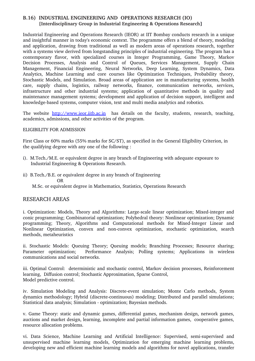### **B.16) INDUSTRIAL ENGINEERING AND OPERATIONS RESEARCH (IO) [Interdisciplinary Group in Industrial Engineering & Operations Research]**

Industrial Engineering and Operations Research (IEOR) at IIT Bombay conducts research in a unique and insightful manner in today's economic context. The programme offers a blend of theory, modeling and application, drawing from traditional as well as modern areas of operations research, together with a systems view derived from longstanding principles of industrial engineering. The program has a contemporary flavor, with specialized courses in Integer Programming, Game Theory, Markov Decision Processes, Analysis and Control of Queues, Services Management, Supply Chain Management, Financial Engineering, Neural Networks, Deep Learning, System Dynamics, Data Analytics, Machine Learning and core courses like Optimization Techniques, Probability theory, Stochastic Models, and Simulation. Broad areas of application are in manufacturing systems, health care, supply chains, logistics, railway networks, finance, communication networks, services, infrastructure and other industrial systems; application of quantitative methods in quality and maintenance management systems; development and application of decision support, intelligent and knowledge-based systems, computer vision, text and multi media analytics and robotics.

The website [http://www.ieor.iitb.ac.in](http://www.ieor.iitb.ac.in/) has details on the faculty, students, research, teaching, academics, admissions, and other activities of the program.

#### ELIGIBILITY FOR ADMISSION

First Class or 60% marks (55% marks for SC/ST), as specified in the General Eligibility Criterion, in the qualifying degree with any one of the following :

- i). M.Tech./M.E. or equivalent degree in any branch of Engineering with adequate exposure to Industrial Engineering & Operations Research.
- ii) B.Tech./B.E. or equivalent degree in any branch of Engineering **OR** OR M.Sc. or equivalent degree in Mathematics, Statistics, Operations Research

### RESEARCH AREAS

i. Optimization: Models, Theory and Algorithms: Large-scale linear optimization; Mixed-integer and conic programming; Combinatorial optimization; Polyhedral theory: Nonlinear optimization; Dynamic programming; Theory, Algorithms and Computational methods for Mixed-Integer Linear and Nonlinear Optimization, convex and non-convex optimization, stochastic optimization, search methods, metaheuristics

ii. Stochastic Models: Queuing Theory; Queuing models; Branching Processes; Resource sharing; Parameter optimization; Performance Analysis; Polling systems; Applications in wireless communications and social networks.

iii. Optimal Control: deterministic and stochastic control, Markov decision processes, Reinforcement learning, Diffusion control; Stochastic Approximation, Sparse Control, Model predictive control.

iv. Simulation Modeling and Analysis: Discrete-event simulation; Monte Carlo methods, System dynamics methodology; Hybrid (discrete-continuous) modeling; Distributed and parallel simulations; Statistical data analysis; Simulation - optimization; Bayesian methods.

v. Game Theory: static and dynamic games, differential games, mechanism design, network games, auctions and market design, learning, incomplete and partial information games, cooperative games, resource allocation problems.

vi. Data Science, Machine Learning and Artificial Intelligence: Supervised, semi-supervised and unsupervised machine learning models, Optimization for emerging machine learning problems, developing new and efficient machine learning models and algorithms for novel applications, transfer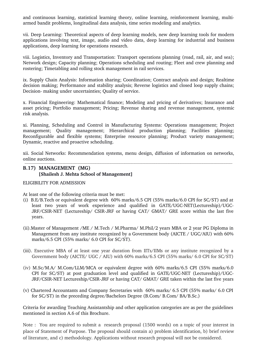and continuous learning, statistical learning theory, online learning, reinforcement learning, multiarmed bandit problems, longitudinal data analysis, time series modeling and analytics.

vii. Deep Learning: Theoretical aspects of deep learning models, new deep learning tools for modern applications involving text, image, audio and video data, deep learning for industrial and business applications, deep learning for operations research.

viii. Logistics, Inventory and Transportation: Transport operations planning (road, rail, air, and sea); Network design; Capacity planning; Operations scheduling and routing; Fleet and crew planning and rostering; Timetabling and rolling stock management in rail services.

ix. Supply Chain Analysis: Information sharing; Coordination; Contract analysis and design; Realtime decision making; Performance and stability analysis; Reverse logistics and closed loop supply chains; Decision- making under uncertainties; Quality of service.

x. Financial Engineering: Mathematical finance; Modeling and pricing of derivatives; Insurance and asset pricing; Portfolio management; Pricing; Revenue sharing and revenue management, systemic risk analysis.

xi. Planning, Scheduling and Control in Manufacturing Systems: Operations management; Project management; Quality management; Hierarchical production planning; Facilities planning; Reconfigurable and flexible systems; Enterprise resource planning; Product variety management; Dynamic, reactive and proactive scheduling.

xii. Social Networks: Recommendation systems, menu design, diffusion of information on networks, online auctions. 

### **B.17) MANAGEMENT (MG) [Shailesh J. Mehta School of Management]**

ELIGIBILITY FOR ADMISSION

At least one of the following criteria must be met:

- (i) B.E/B.Tech or equivalent degree with 60% marks/6.5 CPI (55% marks/6.0 CPI for SC/ST) and at least two vears of work experience and qualified in GATE/UGC-NET(Lectureship)/UGC-JRF/CSIR-NET (Lectureship/ CSIR-JRF or having CAT/ GMAT/ GRE score within the last five years.
- (ii).Master of Management /ME / M.Tech / M.Pharma/ M.Phil/2 years MBA or 2 year PG Diploma in Management from any institute recognized by a Government body (AICTE / UGC/AIU) with 60% marks/6.5 CPI (55% marks/ 6.0 CPI for SC/ST).
- (iii). Executive MBA of at least one year duration from IITs/IIMs or any institute recognized by a Government body (AICTE/ UGC / AIU) with 60% marks/6.5 CPI (55% marks/ 6.0 CPI for SC/ST)
- (iv) M.Sc/M.A/ M.Com/LLM/MCA or equivalent degree with 60% marks/6.5 CPI (55% marks/6.0 CPI for SC/ST) at post graduation level and qualified in GATE/UGC-NET (Lectureship)/UGC-JRF/CSIR-NET Lectureship/CSIR-JRF or having CAT/ GMAT/ GRE taken within the last five years
- (v) Chartered Accountants and Company Secretaries with 60% marks/ 6.5 CPI (55% marks/ 6.0 CPI for SC/ST) in the preceding degree/Bachelors Degree (B.Com/ B.Com/ BA/B.Sc.)

Criteria for awarding Teaching Assistantship and other application categories are as per the guidelines mentioned in section A.6 of this Brochure.

Note : You are required to submit a research proposal (1500 words) on a topic of your interest in place of Statement of Purpose. The proposal should contain a) problem identification, b) brief review of literature, and c) methodology. Applications without research proposal will not be considered.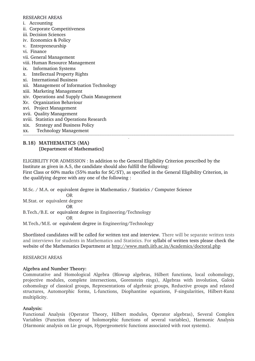#### RESEARCH AREAS

- i. Accounting
- ii. Corporate Competitiveness
- iii. Decision Sciences
- iv. Economics & Policy
- v. Entrepreneurship
- vi. Finance
- vii. General Management
- viii. Human Resource Management
- ix. Information Systems
- x. Intellectual Property Rights
- xi. International Business
- xii. Management of Information Technology
- xiii. Marketing Management
- xiv. Operations and Supply Chain Management
- Xv. Organization Behaviour
- xvi. Project Management
- xvii. Quality Management
- xviii. Statistics and Operations Research
- xix. Strategy and Business Policy
- xx. Technology Management

# **B.18) MATHEMATICS** (**MA) [Department of Mathematics]**

ELIGIBILITY FOR ADMISSION : In addition to the General Eligibility Criterion prescribed by the Institute as given in A.5, the candidate should also fulfill the following: First Class or 60% marks (55% marks for SC/ST), as specified in the General Eligibility Criterion, in the qualifying degree with any one of the following :

1

M.Sc. / M.A. or equivalent degree in Mathematics / Statistics / Computer Science OR

M.Stat. or equivalent degree

OR

B.Tech./B.E. or equivalent degree in Engineering/Technology

**OR** OR

M.Tech./M.E. or equivalent degree in Engineering/Technology

Shortlisted candidates will be called for written test and interview. There will be separate written tests and interviews for students in Mathematics and Statistics. For syllabi of written tests please check the website of the Mathematics Department at<http://www.math.iitb.ac.in/Academics/doctoral.php>

### RESEARCH AREAS

# **Algebra and Number Theory:**

Commutative and Homological Algebra (Blowup algebras, Hilbert functions, local cohomology, projective modules, complete intersections, Gorenstein rings), Algebras with involution, Galois cohomology of classical groups, Representations of algebraic groups, Reductive groups and related structures, Automorphic forms, L-functions, Diophantine equations, F-singularities, Hilbert-Kunz multiplicity.

# **Analysis:**

Functional Analysis (Operator Theory, Hilbert modules, Operator algebras), Several Complex Variables (Function theory of holomorphic functions of several variables), Harmonic Analysis (Harmonic analysis on Lie groups, Hypergeometric functions associated with root systems).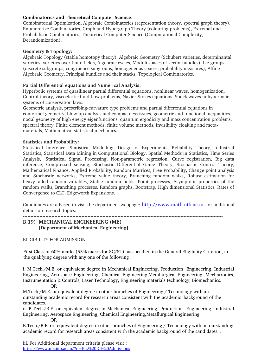# **Combinatorics and Theoretical Computer Science:**

Combinatorial Optimization, Algebraic Combinatorics (representation theory, spectral graph theory), Enumerative Combinatorics, Graph and Hypergraph Theory (colouring problems), Extremal and Probabilistic Combinatorics, Theoretical Computer Science (Computational Complexity, Derandomization).

### **Geometry & Topology:**

Algebraic Topology (stable homotopy theory), Algebraic Geometry (Schubert varieties, determinantal varieties, varieties over finite fields, Algebraic cycles, Moduli spaces of vector bundles), Lie groups (discrete subgroups, congruence subgroups, homogeneous spaces, probability measures), Affine Algebraic Geometry, Principal bundles and their stacks, Topological Combinatorics.

### **Partial Differential equations and Numerical Analysis:**

Hyperbolic systems of quasilinear partial differential equations, nonlinear waves, homogenization, Control theory, viscoelastic fluid flow problems, Navier-Stokes equations, Shock waves in hyperbolic systems of conservation laws.

Geometric analysis, prescribing-curvature type problems and partial differential equations in conformal geometry, blow-up analysis and compactness issues, geometric and functional inequalities, nodal geometry of high energy eigenfunctions, quantum ergodicity and mass concentration problems, spectral theory. Finite element methods, finite volume methods, Invisibility cloaking and metamaterials, Mathematical statistical mechanics.

### **Statistics and Probability:**

Statistical Inference, Statistical Modelling, Design of Experiments, Reliability Theory, Industrial Statistics, Statistical Data Mining in Computational Biology, Spatial Methods in Statistics, Time Series Analysis, Statistical Signal Processing, Non-parametric regression, Curve registration, Big data inference, Compressed sensing, Stochastic Differential Game Theory, Stochastic Control Theory, Mathematical Finance, Applied Probability, Random Matrices, Free Probability, Change point analysis and Stochastic networks, Extreme value theory, Branching random walks, Robust estimation for heavytailed random variables, Stable random fields, Point processes, Asymptotic properties of the random walks, Branching processes, Random graphs, Bootstrap, High dimensional Statistics, Rates of Convergence to CLT, Edgeworth Expansions.

Candidates are advised to visit the department webpage: http://www.math.iitb.ac.in for additional details on research topics.

# **B.19) MECHANICAL ENGINEERING** (**ME) [Department of Mechanical Engineering]**

ELIGIBILITY FOR ADMISSION

First Class or 60% marks (55% marks for SC/ST), as specified in the General Eligibility Criterion, in the qualifying degree with any one of the following :

i. M.Tech./M.E. or equivalent degree in Mechanical Engineering, Production Engineering, Industrial Engineering, Aerospace Engineering, Chemical Engineering,Metallurgical Engineering, Mechatronics, Instrumentation & Controls, Laser Technology, Engineering materials technology, Biomechanics. OR

M.Tech./M.E. or equivalent degree in other branches of Engineering / Technology with an outstanding academic record for research areas consistent with the academic background of the candidates.

ii. B.Tech./B.E. or equivalent degree in Mechanical Engineering, Production Engineering, Industrial Engineering, Aerospace Engineering, Chemical Engineering,Metallurgical Engineering OR

B.Tech./B.E. or equivalent degree in other branches of Engineering / Technology with an outstanding academic record for research areas consistent with the academic background of the candidates. .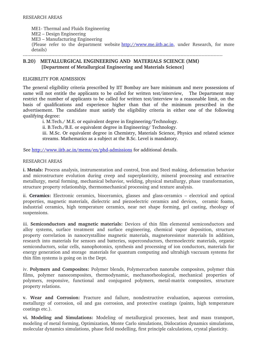ME1- Thermal and Fluids Engineering ME2 – Design Engineering ME3 – Manufacturing Engineering (Please refer to the department website [http://www.me.iitb.ac.in,](http://www.me.iitb.ac.in/) under Research, for more details) 

**B.20) METALLURGICAL ENGINEERING AND MATERIALS SCIENCE (MM) [Department of Metallurgical Engineering and Materials Science]**

#### ELIGIBILITY FOR ADMISSION

The general eligibility criteria prescribed by IIT Bombay are bare minimum and mere possessions of same will not entitle the applicants to be called for written test/interview, The Department may restrict the number of applicants to be called for written test/interview to a reasonable limit, on the basis of qualifications and experience higher than that of the minimum prescribed in the advertisement. The candidate must satisfy the eligibility criteria in either one of the following qualifying degree:

i. M.Tech./ M.E. or equivalent degree in Engineering/Technology.

ii. B.Tech./B.E. or equivalent degree in Engineering/ Technology.

iii. M.Sc. Or equivalent degree in Chemistry, Materials Science, Physics and related science streams. Mathematics as a subject at the B.Sc. Level is mandatory.

See http://www.iitb.ac.in/mems/en/phd-admissions for additional details.

#### RESEARCH AREAS

**i. Metals:** Process analysis, instrumentation and control, Iron and Steel making, deformation behavior and microstructure evolution during creep and superplasticity, mineral processing and extractive metallurgy, metal forming, mechanical behavior, welding, physical metallurgy, phase transformation, structure property relationship, thermomechanical processing and texture analysis.

ii. **Ceramics:** Electronic ceramics, bioceramics, glasses and glass-ceramics – electrical and optical properties, magnetic materials, dielectric and piezoelectric ceramics and devices, ceramic foams, industrial ceramics, high temperature ceramics, near net shape forming, gel casting, rheology of suspensions.

iii. **Semiconductors and magnetic materials:** Devices of thin film elemental semiconductors and alloy systems, surface treatment and surface engineering, chemical vapor deposition, structure property correlation in nanocrystalline magnetic materials, magnetoresistor materials In addition, research into materials for sensors and batteries, superconductors, thermoelectric materials, organic semiconductors, solar cells, nanophotonics, synthesis and processing of ion conductors, materials for energy generation and storage materials for quantum computing and ultrahigh vaccuum systems for thin film systems is going on in the Dept.

iv. **Polymers and Composites:** Polymer blends, Polymercarbon nanotube composites, polymer thin films, polymer nanocomposites, thermodynamic, mechanorheological, mechanical properties of polymers, responsive, functional and conjugated polymers, metal-matrix composites, structure property relations.

**v. Wear and Corrosion:** Fracture and failure, nondestructive evaluation, aqueous corrosion, metallurgy of corrosion, oil and gas corrosion, and protective coatings (paints, high temperature coatings etc.).

**vi. Modeling and Simulations:** Modeling of metallurgical processes, heat and mass transport, modeling of metal forming, Optimization, Monte Carlo simulations, Dislocation dynamics simulations, molecular dynamics simulations, phase field modelling, first principle calculations, crystal plasticity.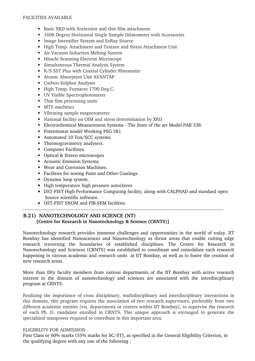#### FACILITIES AVAILABLE

- Basic XRD with Xcelerator and thin film attachment
- 1600 Degree Horizontal Single Sample Dilatometer with Accessories
- Image Intensifier System and ExRay Source
- High Temp. Attachment and Texture and Stress Attachment Unit
- Air Vacuum Induction Melting System
- Hitachi Scanning Electron Microscope
- Simultaneous Thermal Analysis System
- R/S SST Plus with Coaxial Cylinder Rheometer
- Atomic Absorption Unit AVANTAP
- Carbon Sulphur Analyser
- High Temp. Furnaces 1700 Deg.C.
- UV Visible Spectrophotometer
- Thin film processing units
- MTS machines
- Vibrating sample magnetometer
- National facility on OIM and stress determination by XRD
- Electrochemical Measurement Systems The State of the art Model PAR 338.
- Potentiostat model Wenking PSG 581
- Automated 10 Ton/SCC systems.
- Thermogravimetry analysers.
- Computer Facilities.
- Optical & Stereo microscopes
- Acoustic Emission Systems.
- Wear and Corrosion Machines.
- Facilities for testing Paint and Other Coatings.
- Dynamic loop system.
- High temperature high pressure autoclaves
- DST-FIST High Performance Computing facility, along with CALPHAD and standard open Source scientific software.

• DST-FIST SNOM and FIB-SEM facilities.

# **B.21) NANOTECHNOLOGY AND SCIENCE (NT) [Centre for Research in Nanotechnology & Science (CRNTS)]**

Nanotechnology research provides immense challenges and opportunities in the world of today. IIT Bombay has identified Nanosciences and Nanotechnology as thrust areas that enable cutting edge research traversing the boundaries of established disciplines. The Centre for Research in Nanotechnology and Sciences (CRNTS) was established to coordinate and consolidate such research happening in various academic and research units at IIT Bombay, as well as to foster the creation of new research areas.

More than fifty faculty members from various departments of the IIT Bombay with active research interest in the domain of nanotechnology and sciences are associated with the interdisciplinary program at CRNTS.

Realizing the importance of cross disciplinary, multidisciplinary and interdisciplinary interactions in this domain, this program requires the association of two research supervisors, preferably from two different academic entities (viz. departments or centres within IIT Bombay), to supervise the research of each Ph. D. candidate enrolled in CRNTS. This unique approach is envisaged to generate the specialized manpower required to contribute in this important area.

### ELIGIBILITY FOR ADMISSION

First Class or 60% marks (55% marks for SC/ST), as specified in the General Eligibility Criterion, in the qualifying degree with any one of the following :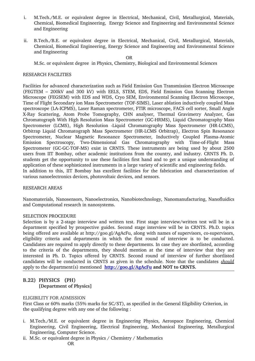- i. M.Tech./M.E. or equivalent degree in Electrical, Mechanical, Civil, Metallurgical, Materials, Chemical, Biomedical Engineering, Energy Science and Engineering and Environmental Science and Engineering
- ii. B.Tech./B.E. or equivalent degree in Electrical, Mechanical, Civil, Metallurgical, Materials, Chemical, Biomedical Engineering, Energy Science and Engineering and Environmental Science and Engineering

OR

M.Sc. or equivalent degree in Physics, Chemistry, Biological and Environmental Sciences

#### RESEARCH FACILITIES

Facilities for advanced characterization such as Field Emission Gun Transmission Electron Microscope (FEGTEM – 200kV and 300 kV) with EELS, STEM, EDS, Field Emission Gun Scanning Electron Microscope (FEGSEM) with EDS and WDS, Cryo SEM, Environmental Scanning Electron Microscope, Time of Flight Secondary ion Mass Spectrometer (TOF-SIMS), Laser ablation inductively coupled Mass spectroscope (LA-ICPMS), Laser Raman spectrometer, FTIR microscope, FACS cell sorter, Small Angle X-Ray Scattering, Atom Probe Tomography, CHN analyser, Thermal Gravimetry Analyzer, Gas Chromatograph With High Resolution Mass Spectrometer (GC-HRMS), Liquid Chromatography Mass Spectrometer (LCMS), High Resolution -Liquid Chromatography Mass Spectrometer (HR-LCMS), Orbitrap Liquid Chromatograph Mass Spectrometer (HRLCMS Orbitrap), Electron Spin Resonance Spectrometer, Nuclear Magnetic Resonance Spectrometer, Inductively Coupled Plasma-Atomic Emission Spectroscopy, Two-Dimensional Gas Chromatography with Time-of-Flight Mass Spectrometer (GC-GC-TOF-MS) exist in CRNTS. These instruments are being used by about 2500 users from IIT Bombay, other academic institutions from the country, and industry. CRNTS Ph. D. students get the opportunity to use these facilities first hand and to get a unique understanding of application of these sophisticated instruments in a large variety of scientific and engineering fields. In addition to this, IIT Bombay has excellent facilities for the fabrication and characterization of various nanoelectronics devices, photovoltaic devices, and sensors.

#### RESEARCH AREAS

Nanomaterials, Nanosensors, Nanoelectronics, Nanobiotechnology, Nanomanufacturing, Nanofluidics and Computational research in nanosystems.

#### SELECTION PROCEDURE

Selection is by a 2-stage interview and written test. First stage interview/written test will be in a department specified by prospective guides. Second stage interview will be in CRNTS. Ph.D. topics being offered are available at http://goo.gl/AgAcFu, along with names of supervisors, co-supervisors, eligibility criteria and departments in which the first round of interview is to be conducted. Candidates are required to apply directly to these departments. In case they are shortlisted, according to the criteria of the departments, they should mention at the time of interview that they are interested in Ph. D. Topics offered by CRNTS. Second round of interview of further shortlisted candidates will be conducted in CRNTS as given in the schedule. Note that the candidates *should* apply to the department(s) mentioned **<http://goo.gl/AgAcFu>and NOT to CRNTS.**

# **B.22) PHYSICS (PH) [Department of Physics]**

#### ELIGIBILITY FOR ADMISSION

First Class or 60% marks (55% marks for SC/ST), as specified in the General Eligibility Criterion, in the qualifying degree with any one of the following :

- i. M.Tech./M.E. or equivalent degree in Engineering Physics, Aerospace Engineering, Chemical Engineering, Civil Engineering, Electrical Engineering, Mechanical Engineering, Metallurgical Engineering, Computer Science.
- ii. M.Sc. or equivalent degree in Physics / Chemistry / Mathematics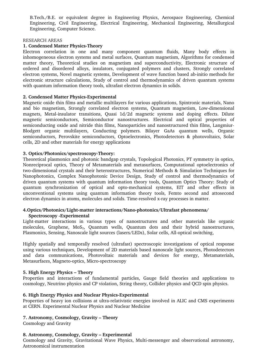B.Tech./B.E. or equivalent degree in Engineering Physics, Aerospace Engineering, Chemical Engineering, Civil Engineering, Electrical Engineering, Mechanical Engineering, Metallurgical Engineering, Computer Science.

#### RESEARCH AREAS

#### **1. Condensed Matter Physics-Theory**

Electron correlation in one and many component quantum fluids, Many body effects in inhomogeneous electron systems and metal surfaces, Quantum magnetism, Algorithms for condensed matter theory, Theoretical studies on magnetism and superconductivity, Electronic structure of ordered and disordered alloys, insulators, conjugated polymers and clusters, Strongly correlated electron systems, Novel magnetic systems, Development of wave function based ab-initio methods for electronic structure calculations, Study of control and thermodynamics of driven quantum systems with quantum information theory tools, ultrafast electron dynamics in solids.

### **2. Condensed Matter Physics-Experimental**

Magnetic oxide thin films and metallic multilayers for various applications, Spintronic materials, Nano and bio magnetism, Strongly correlated electron systems, Quantum magnetism, Low-dimensional magnets, Metal-insulator transitions, Quasi 1d/2d magnetic systems and doping effects. Dilute magnetic semiconductors, Semiconductor nanostructures. Electrical and optical properties of semiconducting oxide and nitride thin films, Nanoparticles and nanostructured thin films, Langmiur-Blodgett organic multilayers, Conducting polymers. Bilayer GaAs quantum wells, Organic semiconductors, Perovskite semiconductors, Optoelectronics, Photodetectors & photovoltaics, Solar cells, 2D and other materials for energy applications

#### **3. Optics/Photonics/spectroscopyTheory:**

Theoretical plasmonics and photonic bandgap crystals, Topological Photonics, PT symmetry in optics, Nonreciprocal optics, Theory of Metamaterials and metasurfaces, Computational optoelectronics of two-dimensional crystals and their heterostructures, Numerical Methods & Simulation Techniques for Nanophotonics, Complex Nanophotonic Device Design, Study of control and thermodynamics of driven quantum systems with quantum information theory tools, Quantum Optics Theory: Study of quantum synchronization of optical and opto-mechanical systems, EIT and other effects in unconventional systems using quantum information theory tools, Femto second and attosecond electron dynamics in atoms, molecules and solids. Time-resolved x-ray processes in matter.

### **4.Optics/Photonics/Lightmatter interactions/Nanophotonics/Ultrafast phenomena/ Spectroscopy Experimental**

Light-matter interactions in various types of nanostructures and other materials like organic molecules, Graphene, MoS<sub>2</sub>, Quantum wells, Quantum dots and their hybrid nanostructures, Plasmonics, Sensing, Nanoscale light sources (lasers/LEDs), Solar cells, All-optical switching,

Highly spatially and temporally resolved (ultrafast) spectroscopic investigations of optical response using various techniques, Development of 2D materials based nanoscale light sources, Photodetectors and data communications, Photovoltaic materials and devices for energy, Metamaterials, Metasurfaces, Magneto-optics, Micro-spectroscopy

#### **5. High Energy Physics – Theory**

Properties and interactions of fundamental particles, Gauge field theories and applications to cosmology, Neutrino physics and CP violation, String theory, Collider physics and QCD spin physics.

#### **6. High Energy Physics and Nuclear Physics-Experimental**

Properties of heavy ion collisions at ultra-relativistic energies involved in ALIC and CMS experiments at CERN. Experimental Nuclear Physics and Nuclear Medicine

### **7. Astronomy, Cosmology, Gravity – Theory**

Cosmology and Gravity

#### **8. Astronomy, Cosmology, Gravity – Experimental**

Cosmology and Gravity, Gravitational Wave Physics, Multi-messenger and observational astronomy, Astronomical instrumentation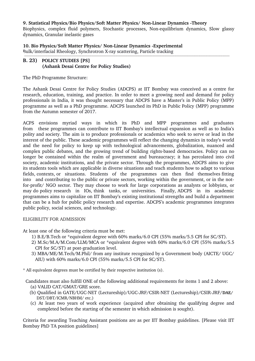**9. Statistical Physics/Bio Physics/Soft Matter Physics/ NonLinear Dynamics Theory**

Biophysics, complex fluid polymers, Stochastic processes, Non-equilibrium dynamics, Slow glassy dynamics, Granular inelastic gases

**10. Bio Physics/Soft Matter Physics/ NonLinear Dynamics Experimental** Bulk/interfacial Rheology, Synchrotron X-ray scattering, Particle tracking 

### **B. 23) POLICY STUDIES [PS] (Ashank Desai Centre for Policy Studies)**

The PhD Programme Structure:

The Ashank Desai Centre for Policy Studies (ADCPS) at IIT Bombay was conceived as a centre for research, education, training, and practice. In order to meet a growing need and demand for policy professionals in India, it was thought necessary that ADCPS have a Master's in Public Policy (MPP) programme as well as a PhD programme. ADCPS launched its PhD in Public Policy (MPP) programme from the Autumn semester of 2017.

ACPS envisions myriad ways in which its PhD and MPP programmes and graduates from these programmes can contribute to IIT Bombay's intellectual expansion as well as to India's polity and society. The aim is to produce professionals or academics who seek to serve or lead in the interest of the public. These academic programmes will reflect the changing dynamics in today's world and the need for policy to keep up with technological advancements, globalization, nuanced and complex public debates, and the growing trend of building rights-based democracies. Policy can no longer be contained within the realm of government and bureaucracy; it has percolated into civil society, academic institutions, and the private sector. Through the programmes, ADCPS aims to give its students tools which are applicable in diverse situations and teach students how to adapt to various fields, contexts, or situations. Students of the programmes can then find themselves fitting into and contributing to the public or private sectors, working within the government, or in the notfor-profit/ NGO sector. They may choose to work for large corporations as analysts or lobbyists, or may do policy research in IOs, think tanks, or universities. Finally, ADCPS in its academic programmes aims to capitalize on IIT Bombay's existing institutional strengths and build a department that can be a hub for public policy research and expertise. ADCPS's academic programmes integrates public policy, social sciences, and technology.

### ELIGIBILITY FOR ADMISSION

At least one of the following criteria must be met:

- 1) B.E/B.Tech or \*equivalent degree with 60% marks/6.0 CPI (55% marks/5.5 CPI for SC/ST).
- 2) M.Sc/M.A/M.Com/LLM/MCA or \*equivalent degree with 60% marks/6.0 CPI (55% marks/5.5 CPI for SC/ST) at post-graduation level.
- 3) MBA/ME/M.Tech/M.Phil/ from any institute recognized by a Government body (AICTE/ UGC/ AIU) with 60% marks/6.0 CPI (55% marks/5.5 CPI for SC/ST).

\* All equivalent degrees must be certified by their respective institution (s).

Candidates must also fulfill ONE of the following additional requirements for items 1 and 2 above:

- (a) VALID CAT/GMAT/GRE score.
- (b) Qualified in GATE/UGC-NET (Lectureship)/UGC-JRF/CSIR-NET (Lectureship)/CSIR-JRF/DAE/  DST/DBT/ICMR/NBHM/ etc.)
- (c) At least two years of work experience (acquired after obtaining the qualifying degree and completed before the starting of the semester in which admission is sought).

Criteria for awarding Teaching Assistant positions are as per IIT Bombay guidelines. [Please visit IIT Bombay PhD TA position guidelines]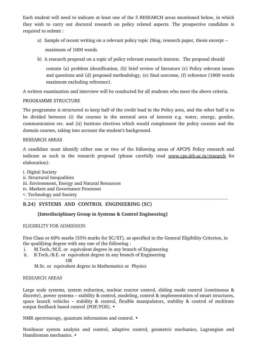Each student will need to indicate at least one of the 5 RESEARCH areas mentioned below, in which they wish to carry out doctoral research on policy related aspects. The prospective candidate is required to submit :

- a) Sample of recent writing on a relevant policy topic (blog, research paper, thesis excerpt maximum of 1000 words.
- b) A research proposal on a topic of policy relevant research interest. The proposal should

contain (a) problem identification, (b) brief review of literature (c) Policy relevant issues and questions and (d) proposed methodology, (e) final outcome, (f) reference (1800 words maximum excluding reference).

A written examination and interview will be conducted for all students who meet the above criteria.

# PROGRAMME STRUCTURE

The programme is structured to keep half of the credit load in the Policy area, and the other half is to be divided between (i) the courses in the sectoral area of interest e.g. water, energy, gender, communication etc. and (ii) Institute electives which would complement the policy courses and the domain courses, taking into account the student's background.

# RESEARCH AREAS

A candidate must identify either one or two of the following areas of APCPS Policy research and indicate as such in the research proposal (please carefully read [www.cps.iitb.ac.in/research](http://www.cps.iitb.ac.in/research) for elaboration):

i. Digital Society ii. Structural Inequalities iii. Environment, Energy and Natural Resources iv. Markets and Governance Processes v. Technology and Society

# **B.24) SYSTEMS AND CONTROL ENGINEERING (SC)**

# **[Interdisciplinary Group in Systems & Control Engineering]**

### ELIGIBILITY FOR ADMISSION

First Class or 60% marks (55% marks for SC/ST), as specified in the General Eligibility Criterion, in the qualifying degree with any one of the following :

- i. M.Tech./M.E. or equivalent degree in any branch of Engineering
- ii. B.Tech./B.E. or equivalent degree in any branch of Engineering OR

M.Sc. or equivalent degree in Mathematics or Physics

### RESEARCH AREAS

Large scale systems, system reduction, nuclear reactor control, sliding mode control (continuous & discrete), power systems – stability & control, modeling, control & implementation of smart structures, space launch vehicles – stability & control, flexible manipulators, stability & control of multirate output feedback based control (POF/FOS). •

NMR spectroscopy, quantum information and control. •

Nonlinear system analysis and control, adaptive control, geometric mechanics, Lagrangian and Hamiltonian mechanics. •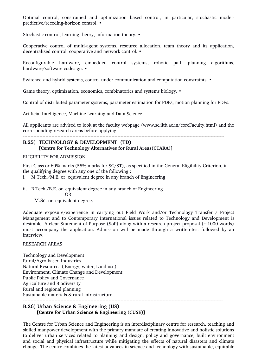Optimal control, constrained and optimization based control, in particular, stochastic modelpredictive/receding-horizon control. •

Stochastic control, learning theory, information theory. •

Cooperative control of multi-agent systems, resource allocation, team theory and its application, decentralized control, cooperative and network control. •

Reconfigurable hardware, embedded control systems, robotic path planning algorithms, hardware/software codesign. •

Switched and hybrid systems, control under communication and computation constraints. •

Game theory, optimization, economics, combinatorics and systems biology.  $\bullet$ 

Control of distributed parameter systems, parameter estimation for PDEs, motion planning for PDEs.

Artificial Intelligence, Machine Learning and Data Science

All applicants are advised to look at the faculty webpage (www.sc.iitb.ac.in/coreFaculty.html) and the corresponding research areas before applying.

#### 

### **B.25) TECHNOLOGY & DEVELOPMENT (TD) [Centre for Technology Alternatives for Rural Areas(CTARA)]**

#### ELIGIBILITY FOR ADMISSION

First Class or 60% marks (55% marks for SC/ST), as specified in the General Eligibility Criterion, in the qualifying degree with any one of the following :

- i. M.Tech./M.E. or equivalent degree in any branch of Engineering
- ii. B.Tech./B.E. or equivalent degree in any branch of Engineering
- **OR** OR
	- M.Sc. or equivalent degree.

Adequate exposure/experience in carrying out Field Work and/or Technology Transfer / Project Management and to Contemporary International issues related to Technology and Development is desirable. A clear Statement of Purpose (SoP) along with a research project proposal ( $\sim$ 1000 words) must accompany the application. Admission will be made through a written-test followed by an interview.

#### RESEARCH AREAS

Technology and Development Rural/Agro-based Industries Natural Resources ( Energy, water, Land use) Environment, Climate Change and Development Public Policy and Governance Agriculture and Biodiversity Rural and regional planning Sustainable materials & rural infrastructure

### **B.26) Urban Science & Engineering (US) [Centre for Urban Science & Engineering (CUSE)]**

The Centre for Urban Science and Engineering is an interdisciplinary centre for research, teaching and skilled manpower development with the primary mandate of creating innovative and holistic solutions to deliver urban services related to planning and design, policy and governance, built environment and social and physical infrastructure while mitigating the effects of natural disasters and climate change. The centre combines the latest advances in science and technology with sustainable, equitable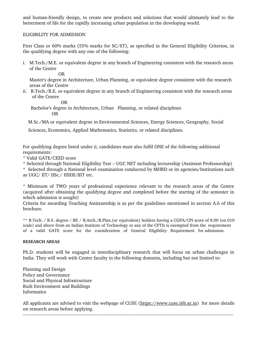and human-friendly design, to create new products and solutions that would ultimately lead to the betterment of life for the rapidly increasing urban population in the developing world.

#### ELIGIBILITY FOR ADMISSION

First Class or 60% marks (55% marks for SC/ST), as specified in the General Eligibility Criterion, in the qualifying degree with any one of the following:

i. M.Tech./M.E. or equivalent degree in any branch of Engineering consistent with the research areas of the Centre

OR

 Master's degree in Architecture, Urban Planning, or equivalent degree consistent with the research areas of the Centre

ii. B.Tech./B.E. or equivalent degree in any branch of Engineering consistent with the research areas of the Centre

OR

Bachelor's degree in Architecture, Urban Planning, or related disciplines

OR

M.Sc./MA or equivalent degree in Environmental Sciences, Energy Sciences, Geography, Social

Sciences, Economics, Applied Mathematics, Statistics, or related disciplines.

For qualifying degree listed under ii, candidates must also fulfil ONE of the following additional requirements:

\* Valid GATE/CEED score

\* Selected through National Eligibility Test – UGC NET including lectureship (Assistant Professorship)

\* Selected through a National level examination conducted by MHRD or its agencies/Institutions such as UGC/ IIT/ IISc./ IISER/IIIT etc.

\* Minimum of TWO years of professional experience relevant to the research areas of the Centre (acquired after obtaining the qualifying degree and completed before the starting of the semester in which admission is sought)

Criteria for awarding Teaching Assistantship is as per the guidelines mentioned in section A.6 of this brochure.

\*\* B.Tech. / B.S. degree / BE / B.Arch./B.Plan.(or equivalent) holders having a CGPA/CPI score of 8.00 (on 010 scale) and above from an Indian Institute of Technology or any of the CFTIs is exempted from the requirement of a valid GATE score for the consideration of General Eligibility Requirement for admission.

#### **RESEARCH AREAS**

Ph.D. students will be engaged in interdisciplinary research that will focus on urban challenges in India. They will work with Centre faculty in the following domains, including but not limited to:

Planning and Design Policy and Governance Social and Physical Infrastructure Built Environment and Buildings Informatics

All applicants are advised to visit the webpage of CUSE [\(https://www.cuse.iitb.ac.in\)](https://www.cuse.iitb.ac.in/) for more details on research areas before applying.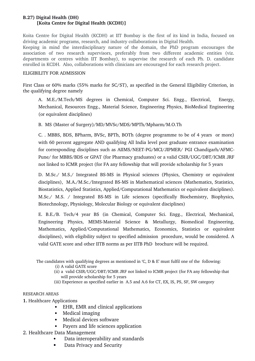# **B.27) Digital Health (DH) [Koita Centre for Digital Health (KCDH)]**

Koita Centre for Digital Health (KCDH) at IIT Bombay is the first of its kind in India, focused on driving academic programs, research, and industry collaborations in Digital Health.

Keeping in mind the interdisciplinary nature of the domain, the PhD program encourages the association of two research supervisors, preferably from two different academic entities (viz. departments or centres within IIT Bombay), to supervise the research of each Ph. D. candidate enrolled in KCDH. Also, collaborations with clinicians are encouraged for each research project.

### ELIGIBILITY FOR ADMISSION

First Class or 60% marks (55% marks for SC/ST), as specified in the General Eligibility Criterion, in the qualifying degree namely

A. M.E./M.Tech/MS degrees in Chemical, Computer Sci. Engg., Electrical, Energy, Mechanical, Resources Engg., Material Science, Engineering Physics, BioMedical Engineering (or equivalent disciplines)

B. MS (Master of Surgery)/MD/MVSc/MDS/MPTh/Mpharm/M.O.Th

C. . MBBS, BDS, BPharm, BVSc, BPTh, BOTh (degree programme to be of 4 years or more) with 60 percent aggregate AND qualifying All India level post graduate entrance examination for corresponding disciplines such as AIIMS/NEET-PG/MCI/JIPMER/ PGI Chandigarh/AFMC-Pune/ for MBBS/BDS or GPAT (for Pharmacy graduates) or a valid CSIR/UGC/DBT/ICMR JRF not linked to ICMR project (for FA any fellowship that will provide scholarship for 5 years

D. M.Sc./ M.S./ Integrated BS-MS in Physical sciences (Physics, Chemistry or equivalent disciplines), M.A./M.Sc./Integrated BS-MS in Mathematical sciences (Mathematics, Statistics, Biostatistics, Applied Statistics, Applied/Computational Mathematics or equivalent disciplines). M.Sc./ M.S. / Integrated BS-MS in Life sciences (specifically Biochemistry, Biophysics, Biotechnology, Physiology, Molecular Biology or equivalent disciplines)

E. B.E./B. Tech/4 year BS (in Chemical, Computer Sci. Engg., Electrical, Mechanical, Engineering Physics, MEMS-Material Science & Metallurgy, Biomedical Engineering, Mathematics, Applied/Computational Mathematics, Economics, Statistics or equivalent disciplines), with eligibility subject to specified admission procedure, would be considered. A valid GATE score and other IITB norms as per IITB PhD brochure will be required.

The candidates with qualifying degrees as mentioned in 'C, D & E' must fulfil one of the following:

(i) A valid GATE score

- (ii) a valid CSIR/UGC/DBT/ICMR JRF not linked to ICMR project (for FA any fellowship that will provide scholarship for 5 years
- (iii) Experience as specified earlier in A.5 and A.6 for CT, EX, IS, PS, SF, SW category

# RESEARCH AREAS

- **1.** Healthcare Applications
	- EHR, EMR and clinical applications
		- Medical imaging
		- Medical devices software
		- Payers and life sciences application
- 2. Healthcare Data Management
	- Data interoperability and standards
	- Data Privacy and Security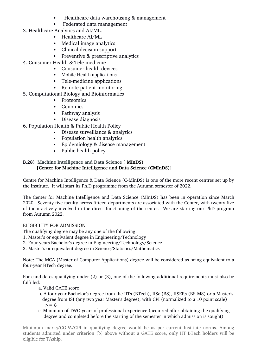- Healthcare data warehousing & management
- Federated data management
- 3. Healthcare Analytics and AI/ML.
	- Healthcare AI/ML
	- Medical image analytics
	- Clinical decision support
	- Preventive & prescriptive analytics
- 4. Consumer Health & Tele-medicine
	- Consumer health devices
	- Mobile Health applications
	- Tele-medicine applications
	- Remote patient monitoring
- 5. Computational Biology and Bioinformatics
	- Proteomics
	- Genomics
	- Pathway analysis
	- Disease diagnosis
- 6. Population Health & Public Health Policy
	- Disease surveillance & analytics
	- Population health analytics
	- Epidemiology & disease management
	- Public health policy

# 

### **B.28) Machine Intelligence and Data Science ( MInDS) [Center for Machine Intelligence and Data Science (CMInDS)]**

Centre for Machine Intelligence & Data Science (C-MinDS) is one of the more recent centres set up by the Institute. It will start its Ph.D programme from the Autumn semester of 2022.

The Center for Machine Intelligence and Data Science (MInDS) has been in operation since March 2020. Seventy-five faculty across fifteen departments are associated with the Center, with twenty five of them actively involved in the direct functioning of the center. We are starting our PhD program from Autumn 2022.

# ELIGIBILITY FOR ADMISSION

The qualifying degree may be any one of the following:

- 1. Master's or equivalent degree in Engineering/Technology
- 2. Four years Bachelor's degree in Engineering/Technology/Science
- 3. Master's or equivalent degree in Science/Statistics/Mathematics

Note: The MCA (Master of Computer Applications) degree will be considered as being equivalent to a four-year BTech degree.

For candidates qualifying under (2) or (3), one of the following additional requirements must also be fulfilled:

- a. Valid GATE score
- b. A four year Bachelor's degree from the IITs (BTech), IISc (BS), IISERs (BS-MS) or a Master's degree from ISI (any two year Master's degree), with CPI (normalized to a 10 point scale)  $>= 8$
- c. Minimum of TWO years of professional experience (acquired after obtaining the qualifying degree and completed before the starting of the semester in which admission is sought)

Minimum marks/CGPA/CPI in qualifying degree would be as per current Institute norms. Among students admitted under criterion (b) above without a GATE score, only IIT BTech holders will be eligible for TAship.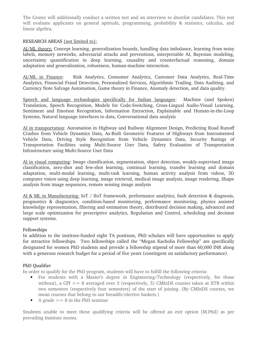The Center will additionally conduct a written test and an interview to shortlist candidates. This test will evaluate applicants on general aptitude, programming, probability & statistics, calculus, and linear algebra.

### RESEARCH AREAS (not limited to):

AI/ML theory: Concept learning, generalization bounds, handling data imbalance, learning from noisy labels, memory networks, adversarial attacks and preventions, interpretable AI, Bayesian modeling, uncertainty quantification in deep learning, causality and counterfactual reasoning, domain adaptation and generalization, robustness, human-machine interaction.

AI/ML in Finance: Risk Analytics, Consumer Analytics, Customer Data Analytics, Real-Time Analytics, Financial Fraud Detection, Personalized Services, Algorithmic Trading, Data Auditing, and Currency Note Salvage Automation, Game theory in Finance, Anomaly detection, and data quality.

Speech and language technologies specifically for Indian languages: Machine (and Spoken) Translation, Speech Recognition, Models for Code-Switching, Cross-Lingual Audio-Visual Learning, Sentiment and Emotion Recognition, Information Extraction, Explainable and Human-in-the-Loop Systems, Natural language interfaces to data, Conversational data analysis

AI in transportation: Automation in Highway and Railway Alignment Design, Predicting Road Runoff Crashes from Vehicle Dynamics Data, As-Built Geometric Features of Highways from Instrumented Vehicle Data, Driving Style Recognition from Vehicle Dynamics Data, Security Ratings of Transportation Facilities using Multi-Source User Data, Safety Evaluation of Transportation Infrastructure using Multi-Source User Data

AI in visual computing: Image classification, segmentation, object detection, weakly-supervised image classification, zero-shot and few-shot learning, continual learning, transfer learning and domain adaptation, multi-modal learning, multi-task learning, human activity analysis from videos, 3D computer vision using deep learning, image retrieval, medical image analysis, image rendering, Shape analysis from image sequences, remote sensing image analysis

AI & ML in Manufacturing: IoT / IIoT framework, performance analytics, fault detection & diagnosis, prognostics & diagnostics, condition-based monitoring, performance monitoring, physics assisted knowledge representation, filtering and estimation theory, distributed decision making, advanced and large scale optimization for prescriptive analytics, Regulation and Control, scheduling and decision support systems.

### Fellowships

In addition to the institute-funded eight TA positions, PhD scholars will have opportunities to apply for attractive fellowships. Two fellowships called the "Megan Kacholia Fellowship" are specifically designated for women PhD students and provide a fellowship stipend of more than 60,000 INR along with a generous research budget for a period of five years (contingent on satisfactory performance).

### PhD Qualifier

In order to qualify for the PhD program, students will have to fulfill the following criteria:

- For students with a Master's degree in Engineering/Technology (respectively, for those without), a CPI  $>= 8$  averaged over 3 (respectively, 5) CMInDS courses taken at IITB within two semesters (respectively four semesters) of the start of joining. (By CMInDS courses, we mean courses that belong to our breadth/elective baskets.)
- A grade  $> = 8$  in the PhD seminar

Students unable to meet these qualifying criteria will be offered an exit option (M.Phil) as per prevailing Institute norms.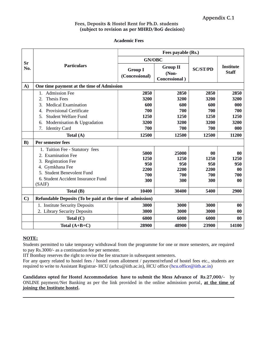### **Fees, Deposits & Hostel Rent for Ph.D. students (subject to revision as per MHRD/BoG decision)**

**Academic Fees**

|              |                                                                                                                                                                               | Fees payable (Rs.)                        |                                                   |                                             |                                             |
|--------------|-------------------------------------------------------------------------------------------------------------------------------------------------------------------------------|-------------------------------------------|---------------------------------------------------|---------------------------------------------|---------------------------------------------|
|              |                                                                                                                                                                               | <b>GN/OBC</b>                             |                                                   |                                             |                                             |
| Sr<br>No.    | <b>Particulars</b>                                                                                                                                                            | <b>Group I</b><br>(Concessional)          | <b>Group II</b><br>(Non-<br><b>Concessional</b> ) | <b>SC/ST/PD</b>                             | <b>Institute</b><br><b>Staff</b>            |
| A)           | One time payment at the time of Admission                                                                                                                                     |                                           |                                                   |                                             |                                             |
|              | <b>Admission Fee</b><br>1.                                                                                                                                                    | 2850                                      | 2850                                              | 2850                                        | 2850                                        |
|              | <b>Thesis Fees</b><br>2.                                                                                                                                                      | 3200                                      | 3200                                              | 3200                                        | 3200                                        |
|              | <b>Medical Examination</b><br>3.                                                                                                                                              | 600                                       | 600                                               | 600                                         | 000                                         |
|              | <b>Provisional Certificate</b><br>4.                                                                                                                                          | 700                                       | 700                                               | 700                                         | 700                                         |
|              | <b>Student Welfare Fund</b><br>5.                                                                                                                                             | 1250                                      | 1250                                              | 1250                                        | 1250                                        |
|              | 6.<br>Modernisation & Upgradation                                                                                                                                             | 3200                                      | 3200                                              | 3200                                        | 3200                                        |
|              | <b>Identity Card</b><br>7.                                                                                                                                                    | 700                                       | 700                                               | 700                                         | 000                                         |
|              | Total (A)                                                                                                                                                                     | 12500                                     | 12500                                             | 12500                                       | 11200                                       |
| B)           | Per semester fees                                                                                                                                                             |                                           |                                                   |                                             |                                             |
|              | 1. Tuition Fee - Statutory fees<br>2. Examination Fee<br>3. Registration Fee<br>4. Gymkhana Fee<br>5. Student Benevolent Fund<br>6. Student Accident Insurance Fund<br>(SAIF) | 5000<br>1250<br>950<br>2200<br>700<br>300 | 25000<br>1250<br>950<br>2200<br>700<br>300        | $00\,$<br>1250<br>950<br>2200<br>700<br>300 | $\bf{00}$<br>1250<br>950<br>00<br>700<br>00 |
|              | Total (B)                                                                                                                                                                     | 10400                                     | 30400                                             | 5400                                        | 2900                                        |
| $\mathbf{C}$ | Refundable Deposits (To be paid at the time of admission)                                                                                                                     |                                           |                                                   |                                             |                                             |
|              | 1. Institute Security Deposits                                                                                                                                                | 3000                                      | 3000                                              | 3000                                        | $00\,$                                      |
|              | 2. Library Security Deposits                                                                                                                                                  | 3000                                      | 3000                                              | 3000                                        | $00\,$                                      |
|              | Total $(C)$                                                                                                                                                                   | 6000                                      | 6000                                              | 6000                                        | 00                                          |
|              | Total $(A+B+C)$                                                                                                                                                               | 28900                                     | 48900                                             | 23900                                       | 14100                                       |

### **NOTE:**

Students permitted to take temporary withdrawal from the programme for one or more semesters, are required to pay Rs.3000/- as a continuation fee per semester.

IIT Bombay reserves the right to revise the fee structure in subsequent semesters.

For any query related to hostel fees / hostel room allotment / payment/refund of hostel fees etc., students are required to write to Assistant Registrar- HCU (arhcu@iitb.ac.in), HCU office [\(hcu.office@iitb.ac.in\)](mailto:hcu.office@iitb.ac.in)

Candidates opted for Hostel Accommodation have to submit the Mess Advance of Rs.27,000/- by ONLINE payment/Net Banking as per the link provided in the online admission portal**, at the time of joining the Institute hostel.**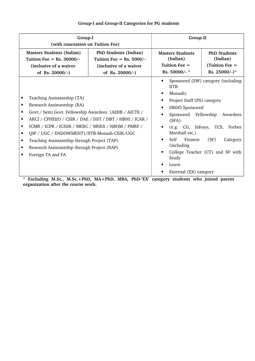| Group-I                                                                                                                                                                                                                                                                                                                                                                                                                            | Group-II                                                                                             |                                                                                                                                                                                                                                                                                                                                                                 |  |
|------------------------------------------------------------------------------------------------------------------------------------------------------------------------------------------------------------------------------------------------------------------------------------------------------------------------------------------------------------------------------------------------------------------------------------|------------------------------------------------------------------------------------------------------|-----------------------------------------------------------------------------------------------------------------------------------------------------------------------------------------------------------------------------------------------------------------------------------------------------------------------------------------------------------------|--|
| (with concession on Tuition Fee)                                                                                                                                                                                                                                                                                                                                                                                                   |                                                                                                      |                                                                                                                                                                                                                                                                                                                                                                 |  |
| <b>Masters Students (Indian)</b><br>Tuition Fee $=$ Rs. 30000/-<br>(inclusive of a waiver<br>of Rs. $20000/-$ )                                                                                                                                                                                                                                                                                                                    | PhD Students (Indian)<br>Tuition Fee $=$ Rs. 5000/-<br>(inclusive of a waiver)<br>of Rs. $20000/-$ ) | <b>PhD Students</b><br><b>Masters Students</b><br>(Indian)<br>(Indian)<br>Tuition Fee $=$<br>(Tuition Fee =<br>Rs. 50000/-*<br>Rs. 25000/-)*                                                                                                                                                                                                                    |  |
| Teaching Assistantship (TA)<br>Research Assistantship (RA)<br>Govt./ Semi Govt. Fellowship Awardees (AERB / AICTE /<br>ARCI / CPHEEO / CSIR / DAE / DST / DBT / HBNI / ICAR /<br>٠<br>ICMR / ICPR / ICSSR / MERC / MNES / NBHM / PMRF /<br>$\bullet$<br>QIP / UGC / ENDOWMENT)/IITB-Monash-CSIR/UGC<br>Teaching Assistantship through Project (TAP)<br>٠<br>Research Assistantship through Project (RAP)<br>٠<br>Foreign TA and FA |                                                                                                      | Sponsored (SW) category (including<br>$\bullet$<br>IITB-<br>Monash)<br>Project Staff (PS) category<br>DRDO Sponsored<br>Sponsored Fellowship<br>Awardees<br>$(SFA)$ -<br>(e.g. CG, Infosys, TCS, Forbes<br>Marshall etc.)<br>Self<br>Finance<br>(SF)<br>Category<br>(including)<br>College Teacher (CT) and SF with<br>Study<br>Leave<br>External (EX) category |  |

# **Group-I and Group-II Categories for PG students**

**\* Excluding M.Sc., M.Sc.+PhD, MA+PhD, MBA, PhD'EX' category students who joined parent organization after the course work.**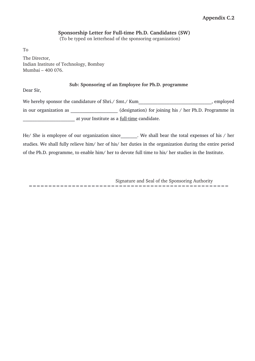# Sponsorship Letter for Full-time Ph.D. Candidates (SW)

(To be typed on letterhead of the sponsoring organization)

To The Director, Indian Institute of Technology, Bombay Mumbai – 400 076.

### **Sub: Sponsoring of an Employee for Ph.D. programme**

Dear Sir,

We hereby sponsor the candidature of Shri./ Smt./ Kum when the subset of shrill and the set of Shri in our organization as  $(designation)$  for joining his / her Ph.D. Programme in at your Institute as a <u>full-time</u> candidate.

He/ She is employee of our organization since . We shall bear the total expenses of his / her studies. We shall fully relieve him/ her of his/ her duties in the organization during the entire period of the Ph.D. programme, to enable him/ her to devote full time to his/ her studies in the Institute.

Signature and Seal of the Sponsoring Authority ===================================================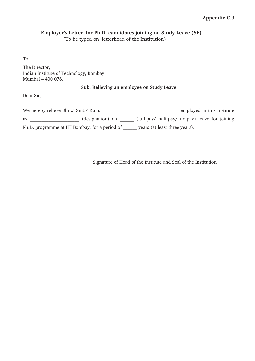# **Employer's Letter for Ph.D. candidates joining on Study Leave (SF)**

(To be typed on letterhead of the Institution)

To

The Director, Indian Institute of Technology, Bombay Mumbai – 400 076.

### **Sub: Relieving an employee on Study Leave**

Dear Sir,

| We hereby relieve Shri./ Smt./ Kum.            | employed in this Institute |                                                |  |  |  |
|------------------------------------------------|----------------------------|------------------------------------------------|--|--|--|
| as                                             | (designation) on           | (full-pay/ half-pay/ no-pay) leave for joining |  |  |  |
| Ph.D. programme at IIT Bombay, for a period of |                            | years (at least three years).                  |  |  |  |

Signature of Head of the Institute and Seal of the Institution

===================================================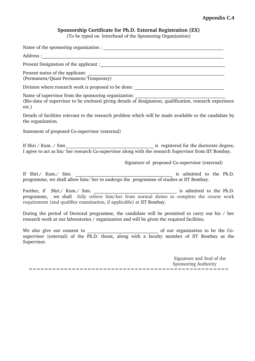# **Appendix C.4**

# **Sponsorship Certificate for Ph.D. External Registration (EX)**

(To be typed on letterhead of the Sponsoring Organization)

Name of the sponsoring organization : \_\_\_\_\_\_\_\_\_\_\_\_\_\_\_\_\_\_\_\_\_\_\_\_\_\_\_\_\_\_\_\_\_\_\_\_\_\_\_\_\_\_\_\_\_\_\_\_\_\_\_ Address : Present Designation of the applicant : Present status of the applicant: \_\_\_\_\_\_\_\_\_\_\_\_\_\_\_\_\_\_\_\_\_\_\_\_\_\_\_\_\_\_\_\_\_\_\_\_\_\_\_\_\_\_\_\_\_\_\_\_\_\_\_\_\_\_\_\_\_\_ (Permanent/Quasi Permanent/Temporary) Division where research work is proposed to be done: \_\_\_\_\_\_\_\_\_\_\_\_\_\_\_\_\_\_\_\_\_\_\_\_\_\_\_ Name of supervisor from the sponsoring organization: (Bio-data of supervisor to be enclosed giving details of designation, qualification, research experience etc.) Details of facilities relevant to the research problem which will be made available to the candidate by the organization. Statement of proposed Co-supervisor (external) If Shri / Kum. / Smt.\_\_\_\_\_\_\_\_\_\_\_\_\_\_\_\_\_\_\_\_\_\_\_\_\_\_\_\_\_\_\_\_\_\_\_\_\_ is registered for the doctorate degree, I agree to act as his/ her research Co-supervisor along with the research Supervisor from IIT Bombay. Signature of proposed Co-supervisor (external) If Shri./ Kum./ Smt. Sime and the Ph.D. programme, we shall allow him/ her to undergo the programme of studies at IIT Bombay. Further, if Shri./ Kum./ Smt.  $\blacksquare$ programme, we shall fully relieve him/her from normal duties to complete the course work requirement (and qualifier examination, if applicable) at IIT Bombay. During the period of Doctoral programme, the candidate will be permitted to carry out his / her research work at our laboratories / organization and will be given the required facilities. We also give our consent to the consent to the Cosupervisor (external) of the Ph.D. thesis, along with a faculty member of IIT Bombay as the Supervisor. Signature and Seal of the Sponsoring Authority ===================================================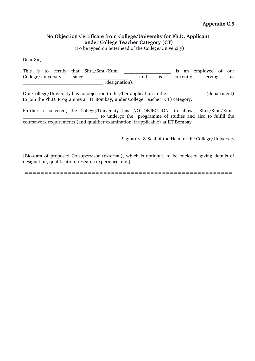# **No Objection Certificate from College/University for Ph.D. Applicant under College Teacher Category (CT)**

(To be typed on letterhead of the College/University)

Dear Sir,

This is to certify that Shri./Smt./Kum. This is an employee of our College/University since \_\_\_\_\_\_\_\_\_\_\_\_\_\_ and is currently serving as  $\overline{\text{(designation)}}$ .

Our College/University has no objection to his/her application in the  $(department)$ to join the Ph.D. Programme at IIT Bombay, under College Teacher (CT) category.

Further, if selected, the College/University has 'NO OBJECTION" to allow Shri./Smt./Kum. to undergo the programme of studies and also to fulfill the coursework requirements (and qualifier examination, if applicable) at IIT Bombay.

Signature & Seal of the Head of the College/University

[Bio-data of proposed Co-supervisor (external), which is optional, to be enclosed giving details of designation, qualification, research experience, etc.]

=====================================================